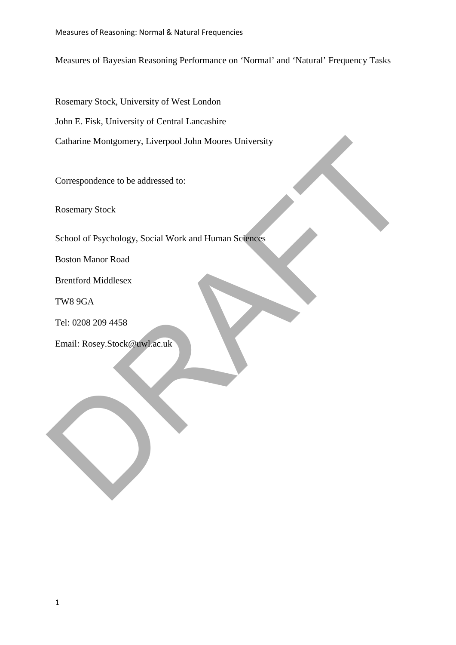Measures of Bayesian Reasoning Performance on 'Normal' and 'Natural' Frequency Tasks

Rosemary Stock, University of West London John E. Fisk, University of Central Lancashire Catharine Montgomery, Liverpool John Moores University

Correspondence to be addressed to:

Rosemary Stock

School of Psychology, Social Work and Human Sciences Catharine Montgomery, Liverpool John Moores University<br>
Correspondence to be addressed to:<br>
Rosemary Stock<br>
School of Psychology, Social Work and Human Science<br>
Boston Manor Road<br>
Brentford Middlesex<br>
TWS 9GA<br>
Tel: 0208 20

Boston Manor Road

Brentford Middlesex

TW8 9GA

Tel: 0208 209 4458

Email: Rosey.Stock@uwl.ac.uk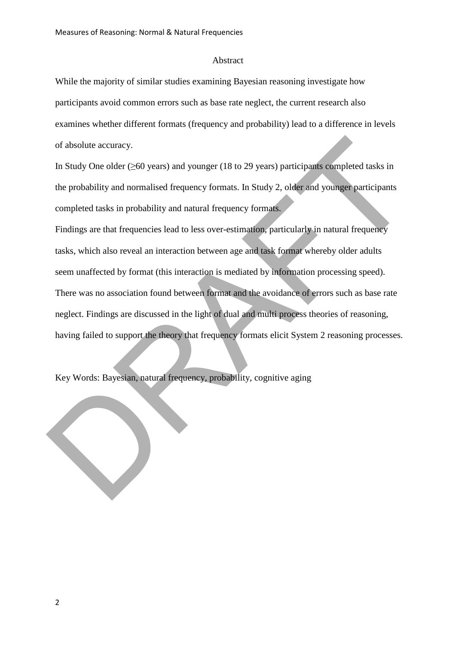#### Abstract

While the majority of similar studies examining Bayesian reasoning investigate how participants avoid common errors such as base rate neglect, the current research also examines whether different formats (frequency and probability) lead to a difference in levels of absolute accuracy.

In Study One older (≥60 years) and younger (18 to 29 years) participants completed tasks in the probability and normalised frequency formats. In Study 2, older and younger participants completed tasks in probability and natural frequency formats.

Findings are that frequencies lead to less over-estimation, particularly in natural frequency tasks, which also reveal an interaction between age and task format whereby older adults seem unaffected by format (this interaction is mediated by information processing speed). There was no association found between format and the avoidance of errors such as base rate neglect. Findings are discussed in the light of dual and multi process theories of reasoning, having failed to support the theory that frequency formats elicit System 2 reasoning processes. of absolute accuracy.<br>In Study One older (260 years) and younger (18 to 29 years) participants completed tasks in<br>the probability and normalised frequency formats. In Study 2, older and younger participants<br>completed tasks

Key Words: Bayesian, natural frequency, probability, cognitive aging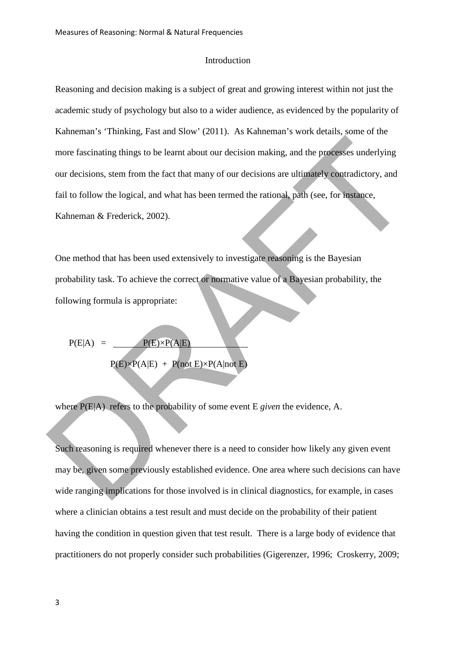### Introduction

Reasoning and decision making is a subject of great and growing interest within not just the academic study of psychology but also to a wider audience, as evidenced by the popularity of Kahneman's 'Thinking, Fast and Slow' (2011). As Kahneman's work details, some of the more fascinating things to be learnt about our decision making, and the processes underlying our decisions, stem from the fact that many of our decisions are ultimately contradictory, and fail to follow the logical, and what has been termed the rational, path (see, for instance, Kahneman & Frederick, 2002). more fascinating things to be learnt about our decision making, and the processes underlying<br>our decisions, stem from the fact that many of our decisions are ultimately contradictory, and<br>fail to follow the logical, and w

One method that has been used extensively to investigate reasoning is the Bayesian probability task. To achieve the correct or normative value of a Bayesian probability, the following formula is appropriate:

$$
P(E|A) = \frac{P(E) \times P(A|E)}{P(E) \times P(A|E) + P(not E) \times P(A|not E)}
$$

where P(E|A) refers to the probability of some event E *given* the evidence, A.

Such reasoning is required whenever there is a need to consider how likely any given event may be, given some previously established evidence. One area where such decisions can have wide ranging implications for those involved is in clinical diagnostics, for example, in cases where a clinician obtains a test result and must decide on the probability of their patient having the condition in question given that test result. There is a large body of evidence that practitioners do not properly consider such probabilities (Gigerenzer, 1996; Croskerry, 2009;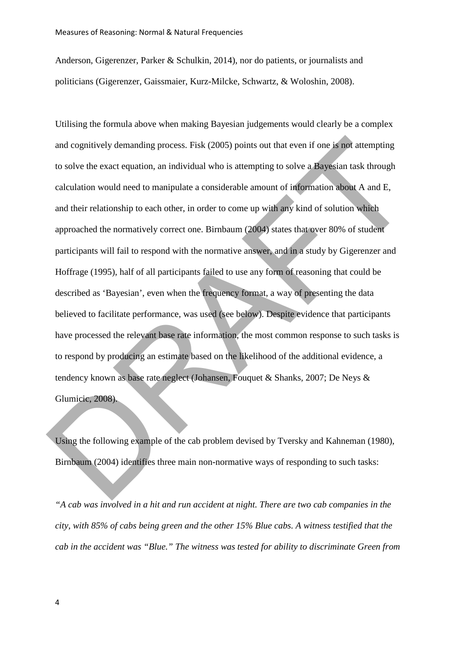Anderson, Gigerenzer, Parker & Schulkin, 2014), nor do patients, or journalists and politicians (Gigerenzer, Gaissmaier, Kurz-Milcke, Schwartz, & Woloshin, 2008).

Utilising the formula above when making Bayesian judgements would clearly be a complex and cognitively demanding process. Fisk (2005) points out that even if one is not attempting to solve the exact equation, an individual who is attempting to solve a Bayesian task through calculation would need to manipulate a considerable amount of information about A and E, and their relationship to each other, in order to come up with any kind of solution which approached the normatively correct one. Birnbaum (2004) states that over 80% of student participants will fail to respond with the normative answer, and in a study by Gigerenzer and Hoffrage (1995), half of all participants failed to use any form of reasoning that could be described as 'Bayesian', even when the frequency format, a way of presenting the data believed to facilitate performance, was used (see below). Despite evidence that participants have processed the relevant base rate information, the most common response to such tasks is to respond by producing an estimate based on the likelihood of the additional evidence, a tendency known as base rate neglect (Johansen, Fouquet & Shanks*,* 2007; De Neys & Glumicic, 2008). and cognitively demanding process. Fisk (2005) points out that even if one is not attempting<br>to solve the exact equation, an individual who is attempting to solve a Bayesian task through<br>calculation would need to manipulat

Using the following example of the cab problem devised by Tversky and Kahneman (1980), Birnbaum (2004) identifies three main non-normative ways of responding to such tasks:

*"A cab was involved in a hit and run accident at night. There are two cab companies in the city, with 85% of cabs being green and the other 15% Blue cabs. A witness testified that the cab in the accident was "Blue." The witness was tested for ability to discriminate Green f rom*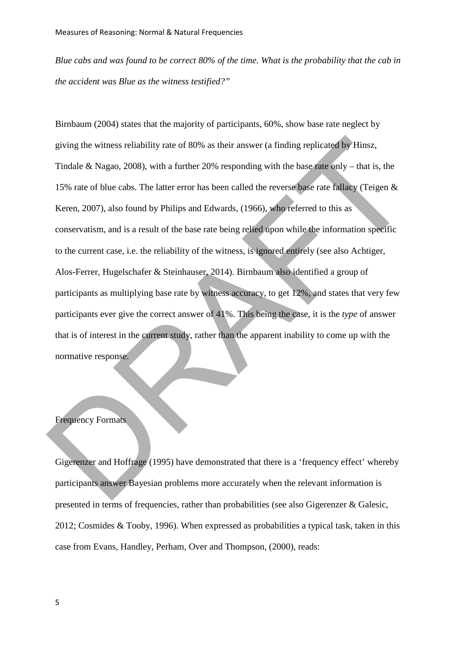*Blue cabs and was found to be correct 80% of the time. What is the probability that the cab in the accident was Blue as the witness testified?"*

Birnbaum (2004) states that the majority of participants, 60%, show base rate neglect by giving the witness reliability rate of 80% as their answer (a finding replicated by Hinsz, Tindale & Nagao*,* 2008), with a further 20% responding with the base rate only – that is, the 15% rate of blue cabs. The latter error has been called the reverse base rate fallacy (Teigen & Keren, 2007), also found by Philips and Edwards, (1966), who referred to this as conservatism, and is a result of the base rate being relied upon while the information specific to the current case, i.e. the reliability of the witness, is ignored entirely (see also Achtiger, Alos-Ferrer, Hugelschafer & Steinhauser, 2014). Birnbaum also identified a group of participants as multiplying base rate by witness accuracy, to get 12%, and states that very few participants ever give the correct answer of 41%. This being the case, it is the *type* of answer that is of interest in the current study, rather than the apparent inability to come up with the normative response. giving the witness reliability rate of 80% as their answer (a finding replicated by Hinsz,<br>Tindale & Nagao, 2008), with a further 20% responding with the base rate only – that is, the<br>15% rate of blue cabs. The latter erro

# Frequency Formats

Gigerenzer and Hoffrage (1995) have demonstrated that there is a 'frequency effect' whereby participants answer Bayesian problems more accurately when the relevant information is presented in terms of frequencies, rather than probabilities (see also Gigerenzer & Galesic, 2012; Cosmides & Tooby, 1996). When expressed as probabilities a typical task, taken in this case from Evan s, Handley, Perham, Over and Thompson, (2000), reads: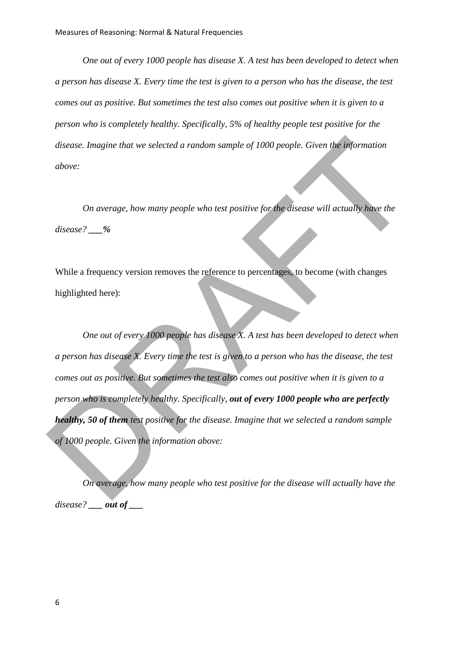*One out of every 1000 people has disease X. A test has been developed to detect when a person has disease X. Every time the test is given to a person who has the disease, the test comes out as positive. But sometimes the test also comes out positive when it is given to a person who is completely healthy. Specifically, 5% of healthy people test positive for the disease. Imagine that we selected a random sample of 1000 people. Given the information above:* 

*On average, how many people who test positive for the disease will actually have the disease? \_\_\_%* 

While a frequency version removes the reference to percentages, to become (with changes highlighted here):

*One out of every 1000 people has disease X. A test has been developed to detect when a person has disease X. Every time the test is given to a person who has the disease, the test comes out as positive. But sometimes the test also comes out positive when it is given to a person who is completely healthy. Specifically, out of every 1000 people who are perfectly healthy, 50 of them test positive for the disease. Imagine that we selected a random sample of 1000 people. Given the information above:*  disease. Imagine that we selected a random sample of 1000 people. Given the information<br>above:<br>On average, how many people who test positive for the disease will actually have the<br>disease? \_\_%<br>While a frequency version rem

*On average, how many people who test positive for the disease will actually have the disease? \_\_\_ out of \_\_\_*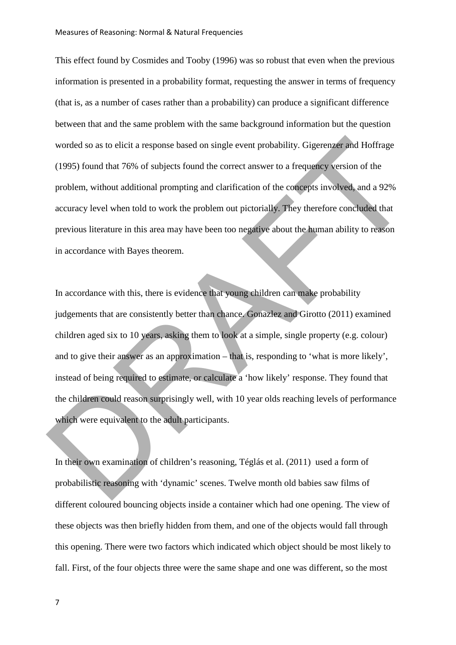This effect found by Cosmides and Tooby (1996) was so robust that even when the previous information is presented in a probability format, requesting the answer in terms of frequency (that is, as a number of cases rather than a probability) can produce a significant difference between that and the same problem with the same background information but the question worded so as to elicit a response based on single event probability. Gigerenzer and Hoffrage (1995) found that 76% of subjects found the correct answer to a frequency version of the problem, without additional prompting and clarification of the concepts involved, and a 92% accuracy level when told to work the problem out pictorially. They therefore concluded that previous literature in this area may have been too negative about the human ability to reason in accordance with Bayes theorem.

In accordance with this, there is evidence that young children can make probability judgements that are consistently better than chance. Gonazlez and Girotto (2011) examined children aged six to 10 years, asking them to look at a simple, single property (e.g. colour) and to give their answer as an approximation – that is, responding to 'what is more likely', instead of being required to estimate, or calculate a 'how likely' response. They found that the children could reason surprisingly well, with 10 year olds reaching levels of performance which were equivalent to the adult participants. worded so as to elicit a response based on single event probability. Gigerenzer and Hoffrage<br>(1995) found that 76% of subjects found the correct answer to a frequency version of the<br>problem, without additional prompting an

In their own examination of children's reasoning, Téglás et al. (2011) used a form of probabilistic reasoning with 'dynamic' scenes. Twelve month old babies saw films of different coloured bouncing objects inside a container which had one opening. The view of these objects was then briefly hidden from them, and one of the objects would fall through this opening. There were two factors which indicated which object should be most likely to fall. First, of the four objects three were the same shape and one was different, so the most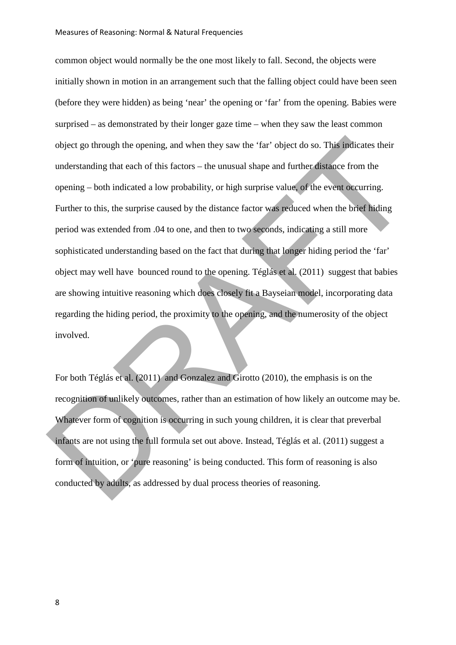common object would normally be the one most likely to fall. Second, the objects were initially shown in motion in an arrangement such that the falling object could have been seen (before they were hidden) as being 'near' the opening or 'far' from the opening. Babies were surprised – as demonstrated by their longer gaze time – when they saw the least common object go through the opening, and when they saw the 'far' object do so. This indicates their understanding that each of this factors – the unusual shape and further distance from the opening – both indicated a low probability, or high surprise value, of the event occurring. Further to this, the surprise caused by the distance factor was reduced when the brief hiding period was extended from .04 to one, and then to two seconds, indicating a still more sophisticated understanding based on the fact that during that longer hiding period the 'far' object may well have bounced round to the opening. Téglás et al. (2011) suggest that babies are showing intuitive reasoning which does closely fit a Bayseian model, incorporating data regarding the hiding period, the proximity to the opening, and the numerosity of the object involved. object go through the opening, and when they saw the 'far' object do so. This indicates their<br>understanding that each of this factors – the unusual shape and further distance from the<br>opening – both indicated a low probabi

For both Téglás et al. (2011) and Gonzalez and Girotto (2010), the emphasis is on the recognition of unlikely outcomes, rather than an estimation of how likely an outcome may be. Whatever form of cognition is occurring in such young children, it is clear that preverbal infants are not using the full formula set out above. Instead, Téglás et al. (2011) suggest a form of intuition, or 'pure reasoning' is being conducted. This form of reasoning is also conducted by adults, as addressed by dual process theories of reasoning.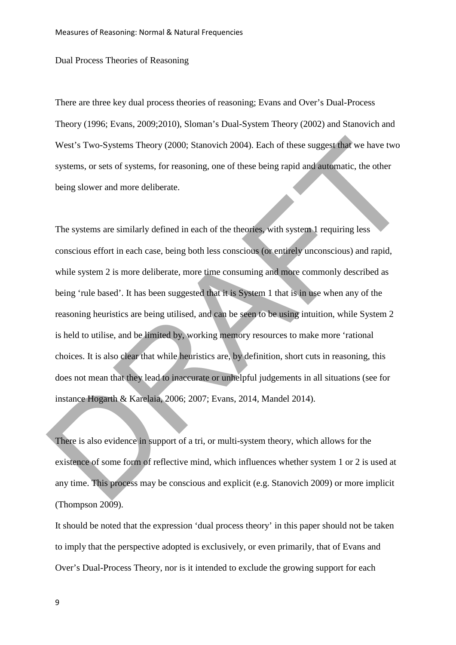Dual Process Theories of Reasoning

There are three key dual process theories of reasoning; Evans and Over's Dual-Process Theory (1996; Evans, 2009;2010), Sloman's Dual-System Theory (2002) and Stanovich and West's Two-Systems Theory (2000; Stanovich 2004). Each of these suggest that we have two systems, or sets of systems, for reasoning, one of these being rapid and automatic, the other being slower and more deliberate.

The systems are similarly defined in each of the theories, with system 1 requiring less conscious effort in each case, being both less conscious (or entirely unconscious) and rapid, while system 2 is more deliberate, more time consuming and more commonly described as being 'rule based'. It has been suggested that it is System 1 that is in use when any of the reasoning heuristics are being utilised, and can be seen to be using intuition, while System 2 is held to utilise, and be limited by, working memory resources to make more 'rational choices. It is also clear that while heuristics are, by definition, short cuts in reasoning, this does not mean that they lead to inaccurate or unhelpful judgements in all situations (see for instance Hogarth & Karelaia, 2006; 2007; Evans, 2014, Mandel 2014). West's Two-Systems Theory (2000; Stanovich 2004). Each of these suggest that we have two<br>systems, or sets of systems, for reasoning, one of these being rapid and automatic, the other<br>being slower and more deliberate.<br>The

There is also evidence in support of a tri, or multi-system theory, which allows for the existence of some form of reflective mind, which influences whether system 1 or 2 is used at any time. This process may be conscious and explicit (e.g. Stanovich 2009) or more implicit  $(Thompson 2009)$ .

It should be noted that the expression 'dual process theory' in this paper should not be taken to imply that the perspective adopted is exclusively, or even primarily, that of Evans and Over's Dual-Process Theory, nor is it intended to exclude the growing support for each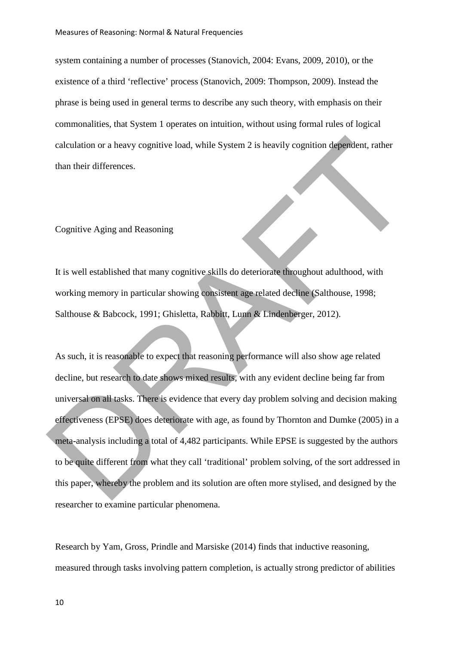system containing a number of processes (Stanovich, 2004: Evans, 2009, 2010), or the existence of a third 'reflective' process (Stanovich, 2009: Thompson, 2009). Instead the phrase is being used in general terms to describe any such theory, with emphasis on their commonalities, that System 1 operates on intuition, without using formal rules of logical calculation or a heavy cognitive load, while System 2 is heavily cognition dependent, rather than their differences.

### Cognitive Aging and Reasoning

It is well established that many cognitive skills do deteriorate throughout adulthood, with working memory in particular showing consistent age related decline (Salthouse, 1998; Salthouse & Babcock, 1991; Ghisletta, Rabbitt, Lunn & Lindenberger, 2012).

As such, it is reasonable to expect that reasoning performance will also show age related decline, but research to date shows mixed results, with any evident decline being far from universal on all tasks. There is evidence that every day problem solving and decision making effectiveness (EPSE) does deteriorate with age, as found by Thornton and Dumke (2005) in a meta-analysis including a total of 4,482 participants. While EPSE is suggested by the authors to be quite different from what they call 'traditional' problem solving, of the sort addressed in this paper, whereby the problem and its solution are often more stylised, and designed by the researcher to examine particular phenomena. ealculation or a heavy cognitive load, while System 2 is heavily cognition dependent, rather<br>than their differences.<br>
<br>
This well established that many cognitive skills do deteriorate throughout adulthood, with<br>
<br>
working

Research by Yam, Gross, Prindle and Marsiske (2014) finds that inductive reasoning, measured through tasks involving pattern completion, is actually strong predictor of abilities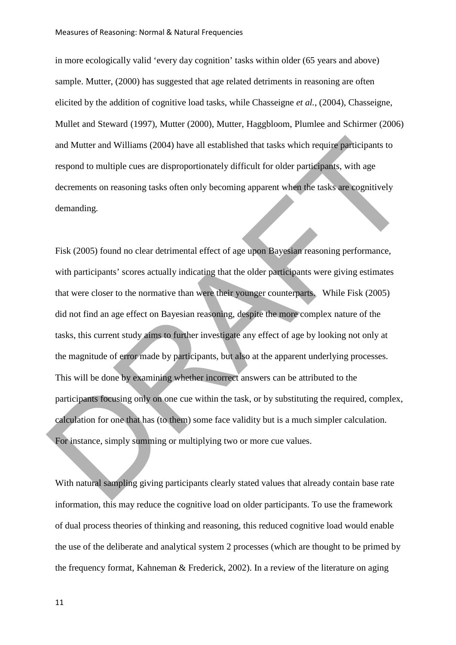in more ecologically valid 'every day cognition' tasks within older (65 years and above) sample. Mutter, (2000) has suggested that age related detriments in reasoning are often elicited by the addition of cognitive load tasks, while Chasseigne *et al.*, (2004), Chasseigne, Mullet and Steward (1997), Mutter (2000), Mutter, Haggbloom, Plumlee and Schirmer (2006) and Mutter and Williams (2004) have all established that tasks which require participants to respond to multiple cues are disproportionately difficult for older participants, with age decrements on reasoning tasks often only becoming apparent when the tasks are cognitively demanding.

Fisk (2005) found no clear detrimental effect of age upon Bayesian reasoning performance, with participants' scores actually indicating that the older participants were giving estimates that were closer to the normative than were their younger counterparts. While Fisk (2005) did not find an age effect on Bayesian reasoning, despite the more complex nature of the tasks, this current study aims to further investigate any effect of age by looking not only at the magnitude of error made by participants, but also at the apparent underlying processes. This will be done by examining whether incorrect answers can be attributed to the participants focusing only on one cue within the task, or by substituting the required, complex, calculation for one that has (to them) some face validity but is a much simpler calculation. For instance, simply summing or multiplying two or more cue values. and Mutter and Williams (2004) have all established that tasks which require participants to<br>respond to multiple cues are disproportionately difficult for older participans, with age<br>decrements on reasoning tasks often onl

With natural sampling giving participants clearly stated values that already contain base rate information, this may reduce the cognitive load on older participants. To use the framework of dual process theories of thinking and reasoning, this reduced cognitive load would enable the use of the deliberate and analytical system 2 processes (which are thought to be primed by the frequency format, Kahneman & Frederick, 2002). In a review of the literature on aging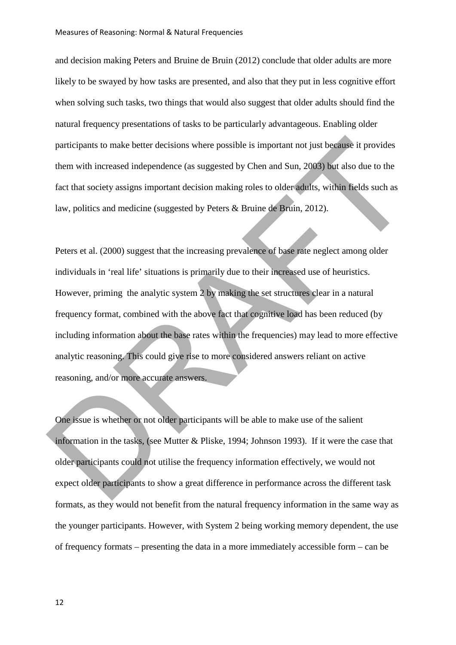and decision making Peters and Bruine de Bruin (2012) conclude that older adults are more likely to be swayed by how tasks are presented, and also that they put in less cognitive effort when solving such tasks, two things that would also suggest that older adults should find the natural frequency presentations of tasks to be particularly advantageous. Enabling older participants to make better decisions where possible is important not just because it provides them with increased independence (as suggested by Chen and Sun, 2003) but also due to the fact that society assigns important decision making roles to older adults, within fields such as law, politics and medicine (suggested by Peters & Bruine de Bruin, 2012).

Peters et al. (2000) suggest that the increasing prevalence of base rate neglect among older individuals in 'real life' situations is primarily due to their increased use of heuristics. However, priming the analytic system 2 by making the set structures clear in a natural frequency format, combined with the above fact that cognitive load has been reduced (by including information about the base rates within the frequencies) may lead to more effective analytic reasoning. This could give rise to more considered answers reliant on active reasoning, and/or more accurate answers. participants to make better decisions where possible is important not just because it provides<br>them with increased independence (as suggested by Chen and Sun, 2003) but also due to the<br>fract that society assigns important

One issue is whether or not older participants will be able to make use of the salient information in the tasks, (see Mutter & Pliske, 1994; Johnson 1993). If it were the case that older participants could not utilise the frequency information effectively, we would not expect older participants to show a great difference in performance across the different task formats, as they would not benefit from the natural frequency information in the same way as the younger participants. However, with System 2 being working memory dependent, the use of frequency formats – presenting the data in a more immediately accessible form – can be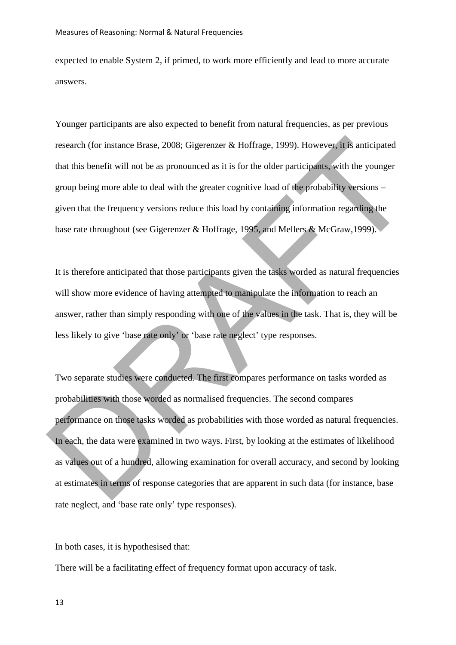expected to enable System 2, if primed, to work more efficiently and lead to more accurate answers.

Younger participants are also expected to benefit from natural frequencies, as per previous research (for instance Brase, 2008; Gigerenzer & Hoffrage, 1999). However, it is anticipated that this benefit will not be as pronounced as it is for the older participants, with the younger group being more able to deal with the greater cognitive load of the probability versions – given that the frequency versions reduce this load by containing information regarding the base rate throughout (see Gigerenzer & Hoffrage, 1995, and Mellers & McGraw,1999).

It is therefore anticipated that those participants given the tasks worded as natural frequencies will show more evidence of having attempted to manipulate the information to reach an answer, rather than simply responding with one of the values in the task. That is, they will be less likely to give 'base rate only' or 'base rate neglect' type responses.

Two separate studies were conducted. The first compares performance on tasks worded as probabilities with those worded as normalised frequencies. The second compares performance on those tasks worded as probabilities with those worded as natural frequencies. In each, the data were examined in two ways. First, by looking at the estimates of likelihood as values out of a hundred, allowing examination for overall accuracy, and second by looking at estimates in terms of response categories that are apparent in such data (for instance, base rate neglect, and 'base rate only' type responses). research (for instance Brase, 2008; Gigerenzer & Hoffrage, 1999). However, it is anticipated<br>that this benefit will not be as pronounced as it is for the older participants, with the younger<br>group being more able to deal w

In both cases, it is hypothesised that:

There will be a facilitating effect of frequency format upon accuracy of task.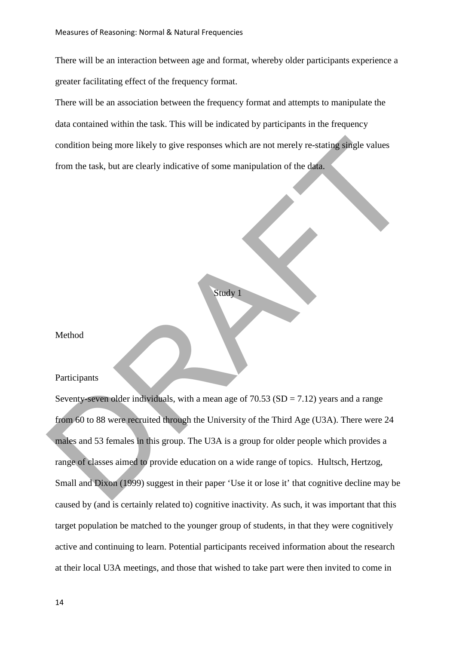There will be an interaction between age and format, whereby older participants experience a greater facilitating effect of the frequency format.

There will be an association between the frequency format and attempts to manipulate the data contained within the task. This will be indicated by participants in the frequency condition being more likely to give responses which are not merely re-stating single values from the task, but are clearly indicative of some manipulation of the data.

```
Study 1
```
Method

## Participants

Seventy-seven older individuals, with a mean age of  $70.53$  (SD =  $7.12$ ) years and a range from 60 to 88 were recruited through the University of the Third Age (U3A). There were 24 males and 53 females in this group. The U3A is a group for older people which provides a range of classes aimed to provide education on a wide range of topics. Hultsch, Hertzog, Small and Dixon (1999) suggest in their paper 'Use it or lose it' that cognitive decline may be caused by (and is certainly related to) cognitive inactivity. As such, it was important that this target population be matched to the younger group of students, in that they were cognitively active and continuing to learn. Potential participants received information about the research at their local U3A meetings, and those that wished to take part were then invited to come in condition being more likely to give responses which are not merely re-stating single values<br>from the task, but are clearly indicative of some manipulation of the data.<br><br>**Singly I**<br>**Method**<br>**Participants**<br>**Raticipants**<br>**Rat**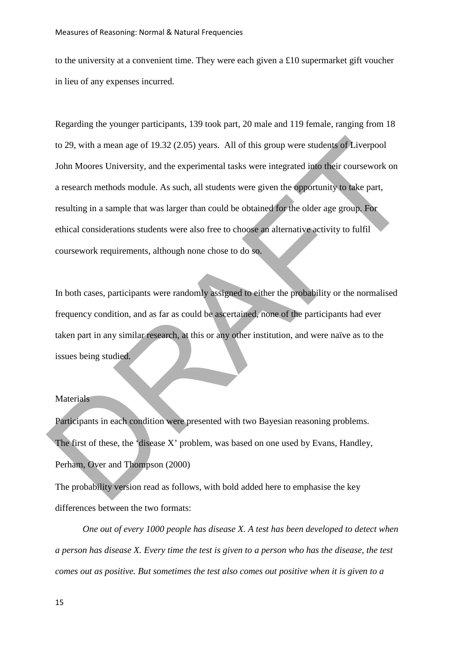to the university at a convenient time. They were each given a £10 supermarket gift voucher in lieu of any expenses incurred.

Regarding the younger participants, 139 took part, 20 male and 119 female, ranging from 18 to 29, with a mean age of 19.32 (2.05) years. All of this group were students of Liverpool John Moores University, and the experimental tasks were integrated into their coursework on a research methods module. As such, all students were given the opportunity to take part, resulting in a sample that was larger than could be obtained for the older age group. For ethical considerations students were also free to choose an alternative activity to fulfil coursework requirements, although none chose to do so. to 29, with a mean age of 19.32 (2.05) years. All of this group were students of Liverpool<br>John Moores University, and the experimental tasks were integrated into their coursework on<br>a research methods module. As such, all

In both cases, participants were randomly assigned to either the probability or the normalised frequency condition, and as far as could be ascertained, none of the participants had ever taken part in any similar research, at this or any other institution, and were naïve as to the issues being studied.

# **Materials**

Participants in each condition were presented with two Bayesian reasoning problems. The first of these, the 'disease X' problem, was based on one used by Evans, Handley, Perham, Over and Thompson (2000)

The probability version read as follows, with bold added here to emphasise the key differences between the two formats:

*One out of every 1000 people has disease X. A test has been developed to detect when a person has disease X. Every time the test is given to a person who has the disease, the test comes out as positive. But sometimes the test also comes out positive when it is given to a*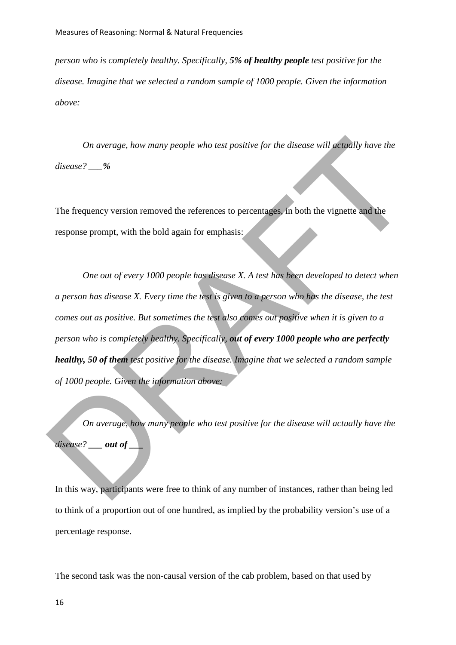*person who is completely healthy. Specifically, 5% of healthy people test positive for the disease. Imagine that we selected a random sample of 1000 people. Given the information above:* 

*On average, how many people who test positive for the disease will actually have the disease? \_\_\_%*

The frequency version removed the references to percentages, in both the vignette and the response prompt, with the bold again for emphasis:

*One out of every 1000 people has disease X. A test has been developed to detect when a person has disease X. Every time the test is given to a person who has the disease, the test comes out as positive. But sometimes the test also comes out positive when it is given to a person who is completely healthy. Specifically, out of every 1000 people who are perfectly healthy, 50 of them test positive for the disease. Imagine that we selected a random sample of 1000 people. Given the information above:*  On average, how many people who test positive for the disease will actually have the<br>disease? \_\_%<br>The frequency version removed the references to percentages. In both the vignetic and the<br>response prompt, with the bold ag

*On average, how many people who test positive for the disease will actually have the disease? \_\_\_ out of \_\_\_*

In this way, participants were free to think of any number of instances, rather than being led to think of a proportion out of one hundred, as implied by the probability version's use of a percentage response.

The second task was the non-causal version of the cab problem, based on that used by

16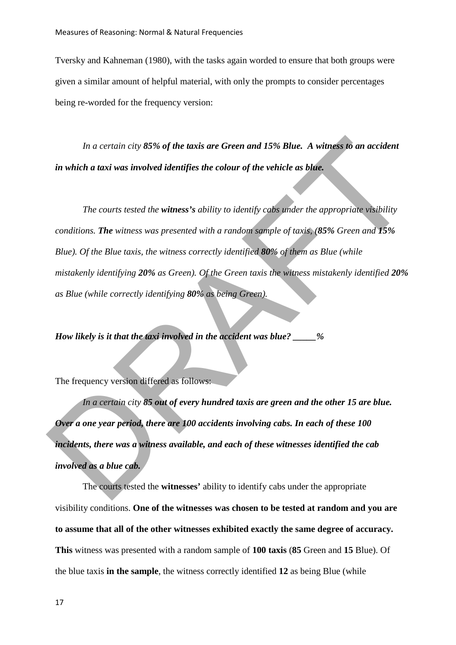Tversky and Kahneman (1980), with the tasks again worded to ensure that both groups were given a similar amount of helpful material, with only the prompts to consider percentages being re-worded for the frequency version:

*In a certain city 85% of the taxis are Green and 15% Blue. A witness to an accident in which a taxi was involved identifies the colour of the vehicle as blue.* 

*The courts tested the witness's ability to identify cabs under the appropriate visibility conditions. The witness was presented with a random sample of taxis, (85% Green and 15% Blue). Of the Blue taxis, the witness correctly identified 80% of them as Blue (while mistakenly identifying 20% as Green). Of the Green taxis the witness mistakenly identified 20% as Blue (while correctly identifying 80% as being Green).* In a certain city 85% of the taxis are Green and 15% Blue. A witness to an accident<br>in which a taxi was involved identifies the colour of the vehicle as blue.<br>The courts tested the witness's ability to identify calls unde

*How likely is it that the taxi involved in the accident was blue? \_\_\_\_\_%* 

The frequency version differed as follows:

*In a certain city 85 out of every hundred taxis are green and the other 15 are blue. Over a one year period, there are 100 accidents involving cabs. In each of these 100 incidents, there was a witness available, and each of these witnesses identified the cab involved as a blue cab.* 

The courts tested the **witnesses'** ability to identify cabs under the appropriate visibility conditions. **One of the witnesses was chosen to be tested at random and you are to assume that all of the other witnesses exhibited exactly the same degree of accuracy. This** witness was presented with a random sample of **100 taxis** (**85** Green and **15** Blue). Of the blue taxis **in the sample**, the witness correctly identified **12** as being Blue (while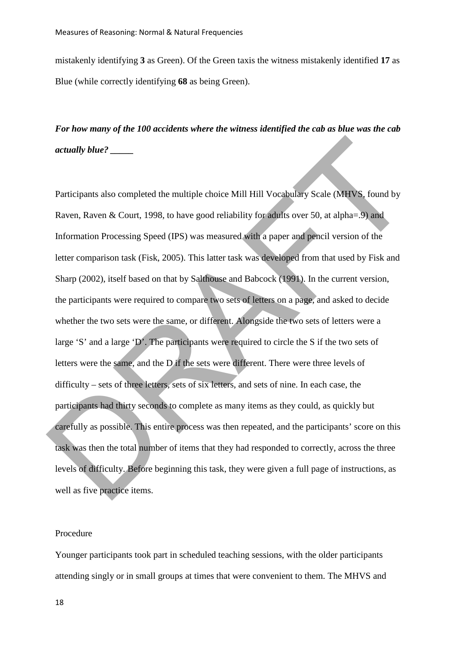mistakenly identifying **3** as Green). Of the Green taxis the witness mistakenly identified **17** as Blue (while correctly identifying **68** as being Green).

*For how many of the 100 accidents where the witness identified the cab as blue was the cab actually blue? \_\_\_\_\_* 

Participants also completed the multiple choice Mill Hill Vocabulary Scale (MHVS, found by Raven, Raven & Court, 1998, to have good reliability for adults over 50, at alpha=.9) and Information Processing Speed (IPS) was measured with a paper and pencil version of the letter comparison task (Fisk, 2005). This latter task was developed from that used by Fisk and Sharp (2002), itself based on that by Salthouse and Babcock (1991). In the current version, the participants were required to compare two sets of letters on a page, and asked to decide whether the two sets were the same, or different. Alongside the two sets of letters were a large 'S' and a large 'D'. The participants were required to circle the S if the two sets of letters were the same, and the D if the sets were different. There were three levels of difficulty – sets of three letters, sets of six letters, and sets of nine. In each case, the participants had thirty seconds to complete as many items as they could, as quickly but carefully as possible. This entire process was then repeated, and the participants' score on this task was then the total number of items that they had responded to correctly, across the three levels of difficulty. Before beginning this task, they were given a full page of instructions, as well as five practice items. DRAFT

# Procedure

Younger participants took part in scheduled teaching sessions, with the older participants attending singly or in small groups at times that were convenient to them. The MHVS and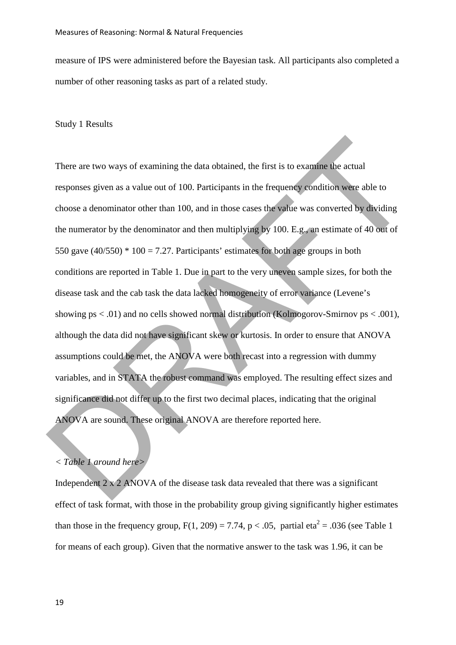measure of IPS were administered before the Bayesian task. All participants also completed a number of other reasoning tasks as part of a related study.

## Study 1 Results

There are two ways of examining the data obtained, the first is to examine the actual responses given as a value out of 100. Participants in the frequency condition were able to choose a denominator other than 100, and in those cases the value was converted by dividing the numerator by the denominator and then multiplying by 100. E.g., an estimate of 40 out of 550 gave  $(40/550) * 100 = 7.27$ . Participants' estimates for both age groups in both conditions are reported in Table 1. Due in part to the very uneven sample sizes, for both the disease task and the cab task the data lacked homogeneity of error variance (Levene's showing  $ps < .01$ ) and no cells showed normal distribution (Kolmogorov-Smirnov  $ps < .001$ ), although the data did not have significant skew or kurtosis. In order to ensure that ANOVA assumptions could be met, the ANOVA were both recast into a regression with dummy variables, and in STATA the robust command was employed. The resulting effect sizes and significance did not differ up to the first two decimal places, indicating that the original ANOVA are sound. These original ANOVA are therefore reported here. There are two ways of examining the data obtained, the first is to examine the actual<br>responses given as a value out of 100. Participants in the frequency condition were able to<br>choose a denominator other than 100, and in

# *< Table 1 around here>*

Independent  $2 \times 2$  ANOVA of the disease task data revealed that there was a significant effect of task format, with those in the probability group giving significantly higher estimates than those in the frequency group,  $F(1, 209) = 7.74$ ,  $p < .05$ , partial eta<sup>2</sup> = .036 (see Table 1) for means of each group). Given that the normative answer to the task was 1.96, it can be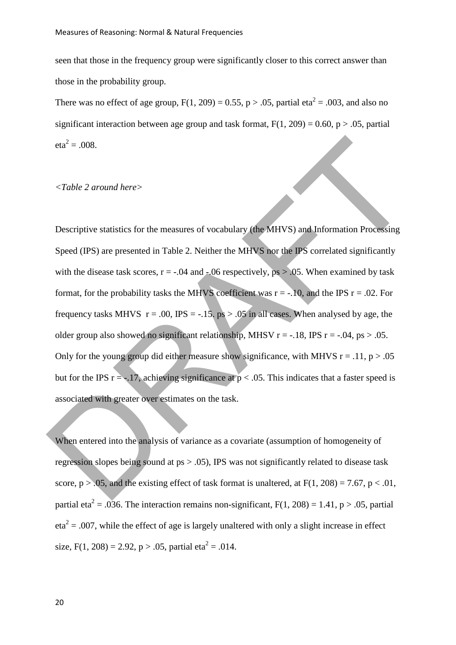seen that those in the frequency group were significantly closer to this correct answer than those in the probability group.

There was no effect of age group,  $F(1, 209) = 0.55$ ,  $p > .05$ , partial eta<sup>2</sup> = .003, and also no significant interaction between age group and task format,  $F(1, 209) = 0.60$ ,  $p > .05$ , partial  $eta^2 = .008$ .

### *<Table 2 around here>*

Descriptive statistics for the measures of vocabulary (the MHVS) and Information Processing Speed (IPS) are presented in Table 2. Neither the MHVS nor the IPS correlated significantly with the disease task scores,  $r = -0.04$  and  $-0.06$  respectively,  $ps > 0.05$ . When examined by task format, for the probability tasks the MHVS coefficient was  $r = -.10$ , and the IPS  $r = .02$ . For frequency tasks MHVS  $r = .00$ , IPS = -.15, ps > .05 in all cases. When analysed by age, the older group also showed no significant relationship, MHSV  $r = -.18$ , IPS  $r = -.04$ ,  $ps > .05$ . Only for the young group did either measure show significance, with MHVS  $r = .11$ ,  $p > .05$ but for the IPS  $r = -.17$ , achieving significance at  $p < .05$ . This indicates that a faster speed is associated with greater over estimates on the task. cta<sup>2</sup> = .008.<br>  $\le$ Table 2 around here><br>
Descriptive statistics for the measures of vocabulary (the MHVS) and Information Processing<br>
Speed (IPS) are presented in Table 2. Neither the MHVS hor the JPS correlated signific

When entered into the analysis of variance as a covariate (assumption of homogeneity of regression slopes being sound at ps > .05), IPS was not significantly related to disease task score,  $p > .05$ , and the existing effect of task format is unaltered, at  $F(1, 208) = 7.67$ ,  $p < .01$ , partial eta<sup>2</sup> = .036. The interaction remains non-significant,  $F(1, 208) = 1.41$ , p > .05, partial  $eta^2 = .007$ , while the effect of age is largely unaltered with only a slight increase in effect size, F(1, 208) = 2.92, p > .05, partial eta<sup>2</sup> = .014.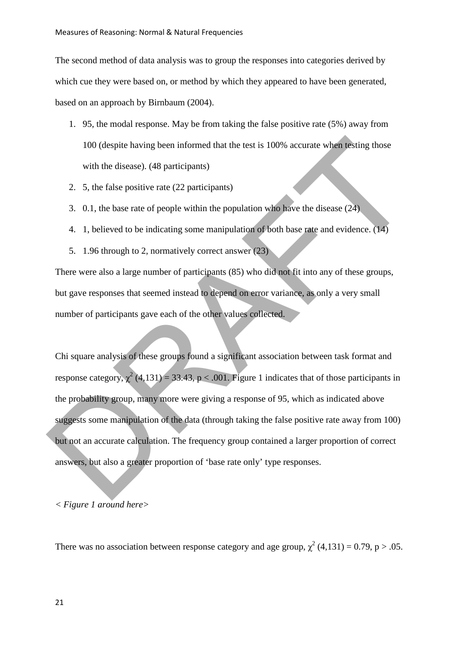The second method of data analysis was to group the responses into categories derived by which cue they were based on, or method by which they appeared to have been generated. based on an approach by Birnbaum (2004).

- 1. 95, the modal response. May be from taking the false positive rate (5%) away from 100 (despite having been informed that the test is 100% accurate when testing those with the disease). (48 participants)
- 2. 5, the false positive rate (22 participants)
- 3. 0.1, the base rate of people within the population who have the disease (24)
- 4. 1, believed to be indicating some manipulation of both base rate and evidence. (14)
- 5. 1.96 through to 2, normatively correct answer (23)

There were also a large number of participants (85) who did not fit into any of these groups, but gave responses that seemed instead to depend on error variance, as only a very small number of participants gave each of the other values collected.

Chi square analysis of these groups found a significant association between task format and response category,  $\chi^2$  (4,131) = 33.43, p < .001. Figure 1 indicates that of those participants in the probability group, many more were giving a response of 95, which as indicated above suggests some manipulation of the data (through taking the false positive rate away from 100) but not an accurate calculation. The frequency group contained a larger proportion of correct answers, but also a greater proportion of 'base rate only' type responses. 100 (despite having been informed that the test is 100% accurate when resting those<br>with the disease). (48 participants)<br>2. 5, the false positive rate (22 participants)<br>3. 0.1, the base rate of people within the populatio

## *< Figure 1 around here>*

There was no association between response category and age group,  $\chi^2$  (4,131) = 0.79, p > .05.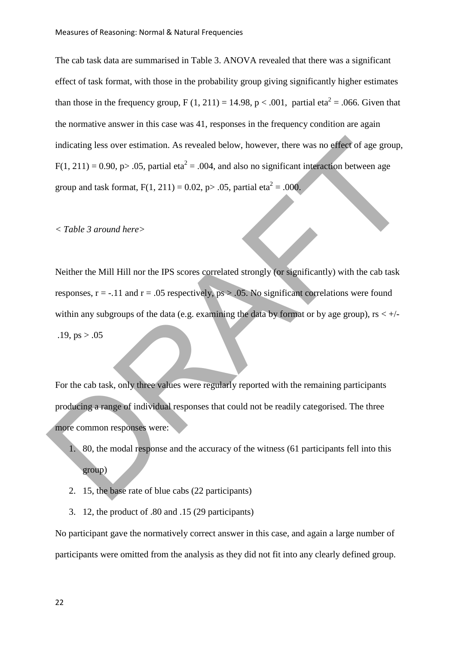The cab task data are summarised in Table 3. ANOVA revealed that there was a significant effect of task format, with those in the probability group giving significantly higher estimates than those in the frequency group,  $F(1, 211) = 14.98$ ,  $p < .001$ , partial eta<sup>2</sup> = .066. Given that the normative answer in this case was 41, responses in the frequency condition are again indicating less over estimation. As revealed below, however, there was no effect of age group,  $F(1, 211) = 0.90$ , p> .05, partial eta<sup>2</sup> = .004, and also no significant interaction between age group and task format,  $F(1, 211) = 0.02$ , p $> .05$ , partial eta<sup>2</sup> = .000.

#### *< Table 3 around here>*

Neither the Mill Hill nor the IPS scores correlated strongly (or significantly) with the cab task responses,  $r = -.11$  and  $r = .05$  respectively,  $ps > .05$ . No significant correlations were found within any subgroups of the data (e.g. examining the data by format or by age group),  $rs < +/ .19$ , ps  $> .05$ indicating less over estimation. As revealed below, however, there was no effect of age group,<br>
F(1, 211) = 0.90, p> .05, partial eta<sup>2</sup> = .004, and also no significant interaction between age<br>
group and task format, F(1,

For the cab task, only three values were regularly reported with the remaining participants producing a range of individual responses that could not be readily categorised. The three more common responses were:

- 1. 80, the modal response and the accuracy of the witness (61 participants fell into this group)
- 2. 15, the base rate of blue cabs (22 participants)
- 3. 12, the product of .80 and .15 (29 participants)

No participant gave the normatively correct answer in this case, and again a large number of participants were omitted from the analysis as they did not fit into any clearly defined group.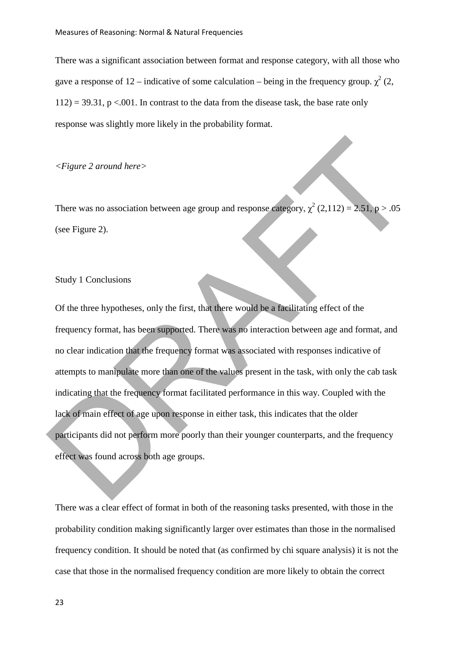There was a significant association between format and response category, with all those who gave a response of 12 – indicative of some calculation – being in the frequency group.  $\chi^2$  (2,  $112$ ) = 39.31, p <.001. In contrast to the data from the disease task, the base rate only response was slightly more likely in the probability format.

# *<Figure 2 around here>*

There was no association between age group and response category,  $\chi^2$  (2,112) = 2.51, p > .05 (see Figure 2).

## Study 1 Conclusions

Of the three hypotheses, only the first, that there would be a facilitating effect of the frequency format, has been supported. There was no interaction between age and format, and no clear indication that the frequency format was associated with responses indicative of attempts to manipulate more than one of the values present in the task, with only the cab task indicating that the frequency format facilitated performance in this way. Coupled with the lack of main effect of age upon response in either task, this indicates that the older participants did not perform more poorly than their younger counterparts, and the frequency effect was found across both age groups. Expanse 2 around here><br>
There was no association between age group and response entergory,  $\chi^2$  (2,112) = 2.51 p > .05<br>
(see Figure 2).<br>
Sludy 1 Conclusions<br>
Of the three hypotheses, only the first, that there would be

There was a clear effect of format in both of the reasoning tasks presented, with those in the probability condition making significantly larger over estimates than those in the normalised frequency condition. It should be noted that (as confirmed by chi square analysis) it is not the case that those in the normalised frequency condition are more likely to obtain the correct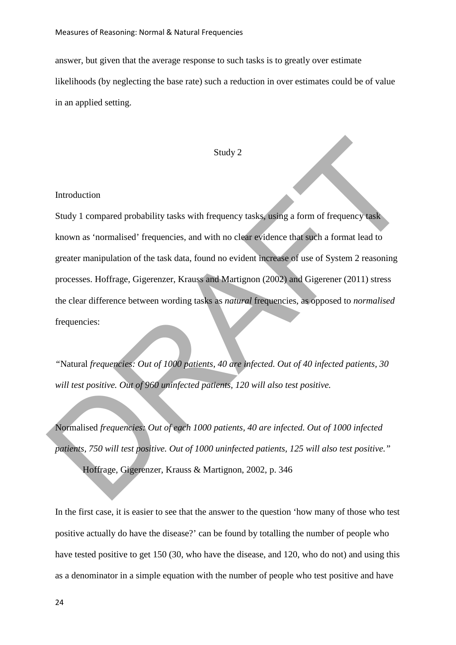answer, but given that the average response to such tasks is to greatly over estimate likelihoods (by neglecting the base rate) such a reduction in over estimates could be of value in an applied setting.

#### Study 2

#### Introduction

Study 1 compared probability tasks with frequency tasks, using a form of frequency task known as 'normalised' frequencies, and with no clear evidence that such a format lead to greater manipulation of the task data, found no evident increase of use of System 2 reasoning processes. Hoffrage, Gigerenzer, Krauss and Martignon (2002) and Gigerener (2011) stress the clear difference between wording tasks as *natural* frequencies, as opposed to *normalised*  frequencies: Study 1<br>
Study 1<br>
Charged probability tasks with frequency tasks using a form of frequency tasks<br>
known as 'normalised' frequencies, and with no clear evidence that such a format lead to<br>
greater manipulation of the task d

*"*Natural *frequencies: Out of 1000 patients, 40 are infected. Out of 40 infected patients, 30 will test positive. Out of 960 uninfected patients, 120 will also test positive.*

Normalised *frequencies: Out of each 1000 patients, 40 are infected. Out of 1000 infected patients, 750 will test positive. Out of 1000 uninfected patients, 125 will also test positive."*

Hoffrage, Gigerenzer, Krauss & Martignon, 2002, p. 346

In the first case, it is easier to see that the answer to the question 'how many of those who test positive actually do have the disease?' can be found by totalling the number of people who have tested positive to get 150 (30, who have the disease, and 120, who do not) and using this as a denominator in a simple equation with the number of people who test positive and have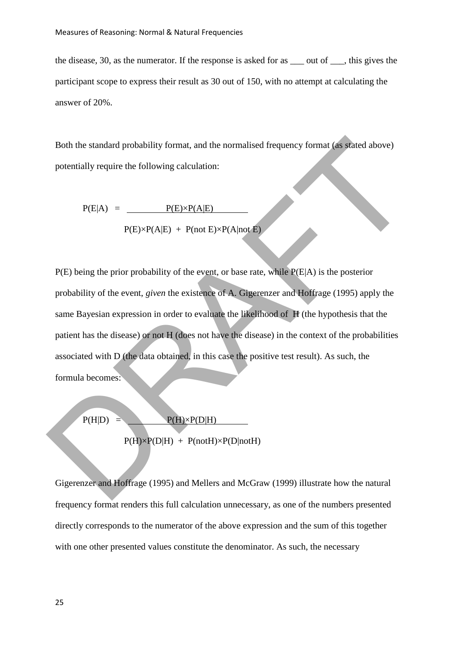the disease, 30, as the numerator. If the response is asked for as \_\_\_ out of \_\_\_, this gives the participant scope to express their result as 30 out of 150, with no attempt at calculating the answer of 20%.

Both the standard probability format, and the normalised frequency format (as stated above) potentially require the following calculation:

$$
P(E|A) = \underline{P(E) \times P(A|E)}
$$
  
 
$$
P(E) \times P(A|E) + P(not E) \times P(A|not E)
$$

P(E) being the prior probability of the event, or base rate, while P(E|A) is the posterior probability of the event, *given* the existence of A. Gigerenzer and Hoffrage (1995) apply the same Bayesian expression in order to evaluate the likelihood of H (the hypothesis that the patient has the disease) or not H (does not have the disease) in the context of the probabilities associated with D (the data obtained, in this case the positive test result). As such, the formula becomes: Both the standard probability format, and the normalised frequency format (as stated above)<br>
potentially require the following calculation:<br>  $P(E|A) = \frac{P(E) \cdot P(A|E)}{P(E) \cdot P(A|E) + P(\text{and } E) \cdot P(A|\text{mod } E)}$ <br>  $P(E)$  being the prior prob

$$
P(H|D) = \frac{P(H) \times P(D|H)}{P(H) \times P(D|H) + P(notH) \times P(D|notH)}
$$

Gigerenzer and Hoffrage (1995) and Mellers and McGraw (1999) illustrate how the natural frequency format renders this full calculation unnecessary, as one of the numbers presented directly corresponds to the numerator of the above expression and the sum of this together with one other presented values constitute the denominator. As such, the necessary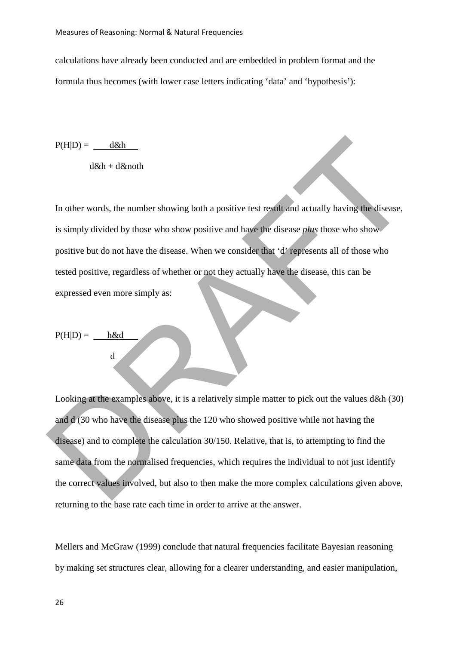calculations have already been conducted and are embedded in problem format and the formula thus becomes (with lower case letters indicating 'data' and 'hypothesis'):

 $P(H|D) =$   $d\&h$ 

 $d\&h + d\&noth$ 

In other words, the number showing both a positive test result and actually having the disease, is simply divided by those who show positive and have the disease *plus* those who show positive but do not have the disease. When we consider that 'd' represents all of those who tested positive, regardless of whether or not they actually have the disease, this can be expressed even more simply as:

 $P(H|D) = h\&d$ 

d

Looking at the examples above, it is a relatively simple matter to pick out the values d&h (30) and d (30 who have the disease plus the 120 who showed positive while not having the disease) and to complete the calculation 30/150. Relative, that is, to attempting to find the same data from the normalised frequencies, which requires the individual to not just identify the correct values involved, but also to then make the more complex calculations given above, returning to the base rate each time in order to arrive at the answer. P(HID) =  $\frac{d8h}{dx}$ <br>
d&h + d&noth<br>
In other words, the number showing both a positive test result and actually having the disease,<br>
is simply divided by those who show positive and have the disease *phus* those who show<br>

Mellers and McGraw (1999) conclude that natural frequencies facilitate Bayesian reasoning by making set structures clear, allowing for a clearer understanding, and easier manipulation,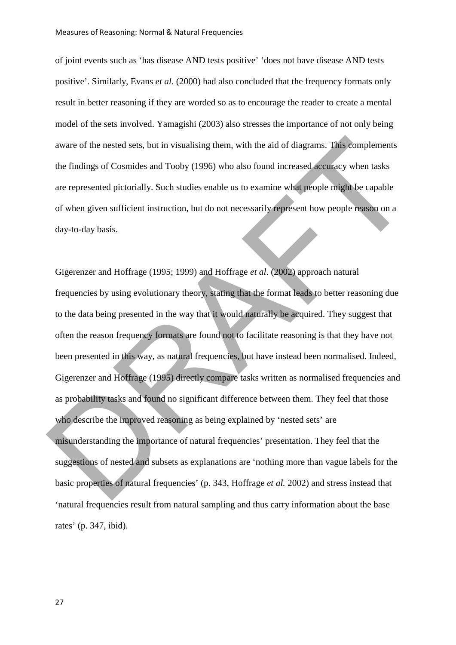of joint events such as 'has disease AND tests positive' 'does not have disease AND tests positive'. Similarly, Evans *et al.* (2000) had also concluded that the frequency formats only result in better reasoning if they are worded so as to encourage the reader to create a mental model of the sets involved. Yamagishi (2003) also stresses the importance of not only being aware of the nested sets, but in visualising them, with the aid of diagrams. This complements the findings of Cosmides and Tooby (1996) who also found increased accuracy when tasks are represented pictorially. Such studies enable us to examine what people might be capable of when given sufficient instruction, but do not necessarily represent how people reason on a day-to-day basis.

Gigerenzer and Hoffrage (1995; 1999) and Hoffrage *et al*. (2002) approach natural frequencies by using evolutionary theory, stating that the format leads to better reasoning due to the data being presented in the way that it would naturally be acquired. They suggest that often the reason frequency formats are found not to facilitate reasoning is that they have not been presented in this way, as natural frequencies, but have instead been normalised. Indeed, Gigerenzer and Hoffrage (1995) directly compare tasks written as normalised frequencies and as probability tasks and found no significant difference between them. They feel that those who describe the improved reasoning as being explained by 'nested sets' are misunderstanding the importance of natural frequencies' presentation. They feel that the suggestions of nested and subsets as explanations are 'nothing more than vague labels for the basic properties of natural frequencies' (p. 343, Hoffrage *et al.* 2002) and stress instead that 'natural frequencies result from natural sampling and thus carry information about the base rates' (p. 347, ibid). aware of the nested sets, but in visualising them. with the aid of diagrams. This eomplements<br>the findings of Cosmides and Tooby (1996) who also found increased accuracy when tasks<br>are represented pictorially. Such studies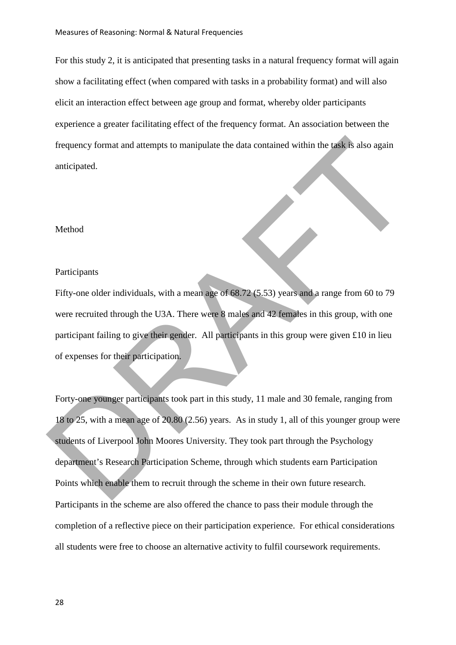For this study 2, it is anticipated that presenting tasks in a natural frequency format will again show a facilitating effect (when compared with tasks in a probability format) and will also elicit an interaction effect between age group and format, whereby older participants experience a greater facilitating effect of the frequency format. An association between the frequency format and attempts to manipulate the data contained within the task is also again anticipated.

#### Method

# Participants

Fifty-one older individuals, with a mean age of 68.72 (5.53) years and a range from 60 to 79 were recruited through the U3A. There were 8 males and 42 females in this group, with one participant failing to give their gender. All participants in this group were given £10 in lieu of expenses for their participation.

Forty-one younger participants took part in this study, 11 male and 30 female, ranging from 18 to 25, with a mean age of 20.80 (2.56) years. As in study 1, all of this younger group were students of Liverpool John Moores University. They took part through the Psychology department's Research Participation Scheme, through which students earn Participation Points which enable them to recruit through the scheme in their own future research. Participants in the scheme are also offered the chance to pass their module through the completion of a reflective piece on their participation experience. For ethical considerations all students were free to choose an alternative activity to fulfil coursework requirements. frequency format and attempts to manipulate the data contained within the task is also again<br>anticipated.<br>
Participants<br>
Fifty-one older individuals, with a mean age of 68.72 (5.53) years and a range from 60 to 79<br>
were re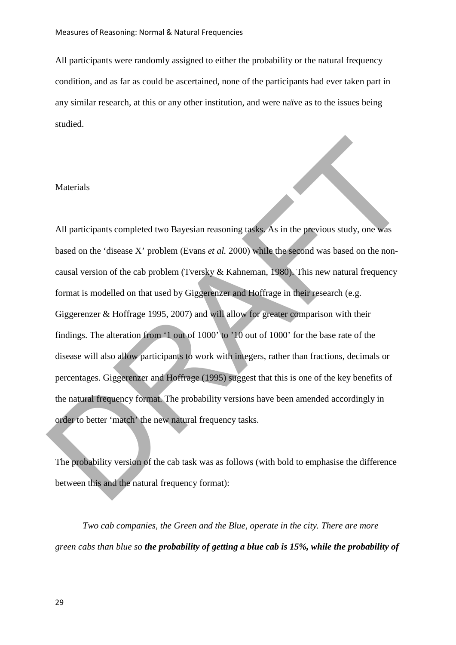All participants were randomly assigned to either the probability or the natural frequency condition, and as far as could be ascertained, none of the participants had ever taken part in any similar research, at this or any other institution, and were naïve as to the issues being studied.

## Materials

All participants completed two Bayesian reasoning tasks. As in the previous study, one was based on the 'disease X' problem (Evans *et al.* 2000) while the second was based on the noncausal version of the cab problem (Tversky & Kahneman, 1980). This new natural frequency format is modelled on that used by Giggerenzer and Hoffrage in their research (e.g. Giggerenzer & Hoffrage 1995, 2007) and will allow for greater comparison with their findings. The alteration from '1 out of 1000' to '10 out of 1000' for the base rate of the disease will also allow participants to work with integers, rather than fractions, decimals or percentages. Giggerenzer and Hoffrage (1995) suggest that this is one of the key benefits of the natural frequency format. The probability versions have been amended accordingly in order to better 'match' the new natural frequency tasks. Materials<br>
All participants completed two Bayesian reasoning tasks. As in the previous study, one was<br>
hased on the 'disease X' problem (Evans *et al.* 2000) while the second was hased on the non-<br>
causal version of the c

The probability version of the cab task was as follows (with bold to emphasise the difference between this and the natural frequency format):

*Two cab companies, the Green and the Blue, operate in the city. There are more green cabs than blue so the probability of getting a blue cab is 15%, while the probability of*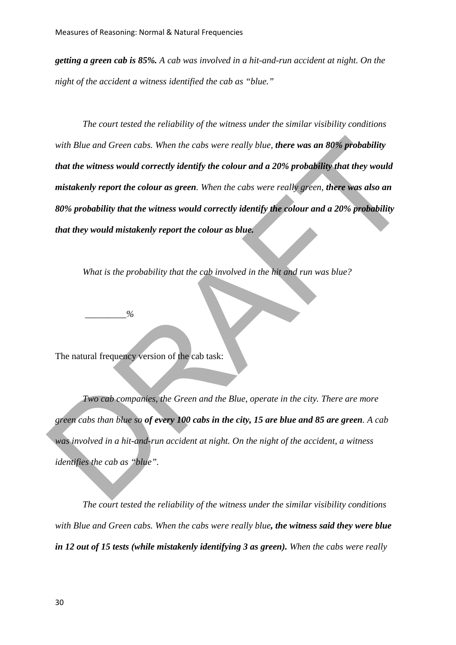*getting a green cab is 85%. A cab was involved in a hit-and-run accident at night. On the night of the accident a witness identified the cab as "blue."* 

*The court tested the reliability of the witness under the similar visibility conditions with Blue and Green cabs. When the cabs were really blue, there was an 80% probability that the witness would correctly identify the colour and a 20% probability that they would mistakenly report the colour as green. When the cabs were really green, there was also an 80% probability that the witness would correctly identify the colour and a 20% probability that they would mistakenly report the colour as blue.*  with Blue and Green cabs. When the cabs were really blue, there was an 80% probability<br>that the witness would correctly identify the colour and a 20% probability that they would<br>mistakenly report the colour as green. When

*What is the probability that the cab involved in the hit and run was blue?* 

 $\frac{9}{6}$ 

The natural frequency version of the cab task:

*Two cab companies, the Green and the Blue, operate in the city. There are more green cabs than blue so of every 100 cabs in the city, 15 are blue and 85 are green. A cab was involved in a hit-and-run accident at night. On the night of the accident, a witness identifies the cab as "blue".* 

*The court tested the reliability of the witness under the similar visibility conditions with Blue and Green cabs. When the cabs were really blue, the witness said they were blue in 12 out of 15 tests (while mistakenly identifying 3 as green). When the cabs were really*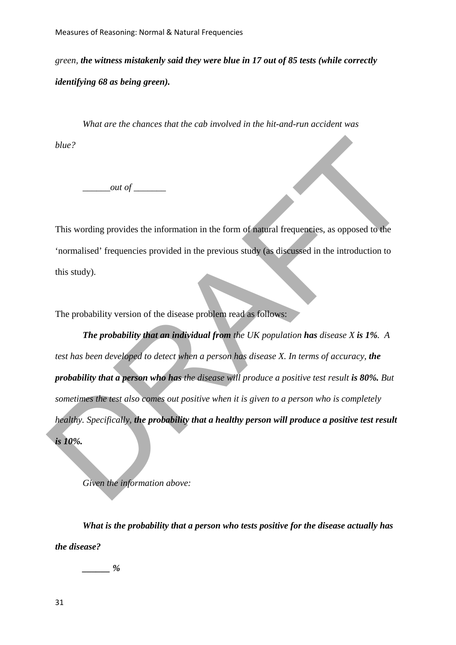*green, the witness mistakenly said they were blue in 17 out of 85 tests (while correctly identifying 68 as being green).* 

*What are the chances that the cab involved in the hit-and-run accident was blue?* 

*out of* 

This wording provides the information in the form of natural frequencies, as opposed to the 'normalised' frequencies provided in the previous study (as discussed in the introduction to this study).

The probability version of the disease problem read as follows:

*The probability that an individual from the UK population has disease X is 1%. A test has been developed to detect when a person has disease X. In terms of accuracy, the probability that a person who has the disease will produce a positive test result is 80%. But sometimes the test also comes out positive when it is given to a person who is completely healthy. Specifically, the probability that a healthy person will produce a positive test result is 10%.*  out of <u>containers</u><br>and of containers and the form of matterial frequencies, as opposed to the<br>inormalised' frequencies provided in the previous study (as discussed in the introduction to<br>this study).<br>The probability versi

*Given the information above:* 

*What is the probability that a person who tests positive for the disease actually has the disease?* 

 $\frac{9}{6}$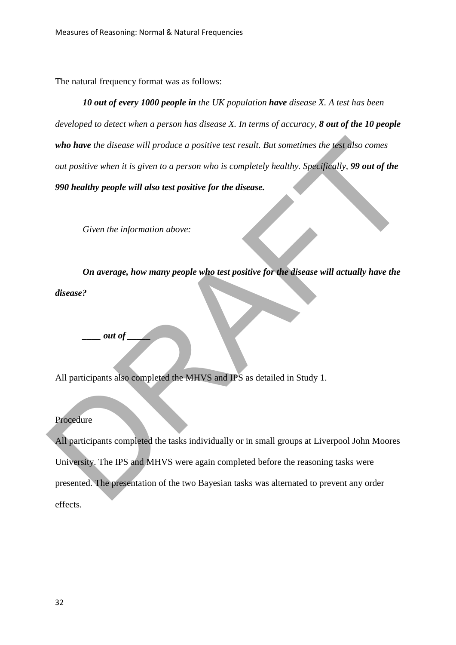The natural frequency format was as follows:

*10 out of every 1000 people in the UK population have disease X. A test has been developed to detect when a person has disease X. In terms of accuracy, 8 out of the 10 people who have the disease will produce a positive test result. But sometimes the test also comes out positive when it is given to a person who is completely healthy. Specifically, 99 out of the 990 healthy people will also test positive for the disease.*

*Given the information above:* 

*On average, how many people who test positive for the disease will actually have the disease?* 

*\_\_\_\_ out of \_\_\_\_\_* 

All participants also completed the MHVS and IPS as detailed in Study 1.

# Procedure

All participants completed the tasks individually or in small groups at Liverpool John Moores University. The IPS and MHVS were again completed before the reasoning tasks were presented. The presentation of the two Bayesian tasks was alternated to prevent any order effects. who have the disease will produce a positive test result. But sometimes the test diso comes<br>out positive when it is given to a person who is completely healthy. Specifically, 99 out of the<br>990 healthy people will also test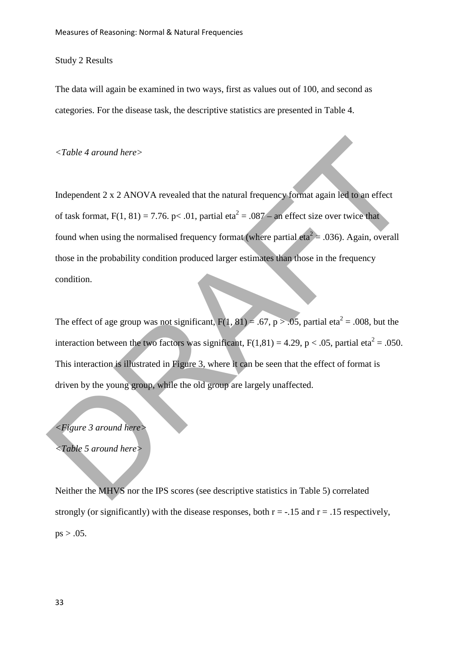## Study 2 Results

The data will again be examined in two ways, first as values out of 100, and second as categories. For the disease task, the descriptive statistics are presented in Table 4.

*<Table 4 around here>* 

Independent 2 x 2 ANOVA revealed that the natural frequency format again led to an effect of task format,  $F(1, 81) = 7.76$ . p< .01, partial eta<sup>2</sup> = .087 – an effect size over twice that found when using the normalised frequency format (where partial eta<sup>2</sup> = .036). Again, overall those in the probability condition produced larger estimates than those in the frequency condition. Example 4 around here<br>
Independent 2 x 2 ANOVA revealed that the natural frequency format again led to an effect<br>
of task format, F(1, 81) = 7.76, p< .01, partial eta<sup>2</sup> = .087 = an effect size over twice that<br>
found when

The effect of age group was not significant,  $F(1, 81) = .67$ ,  $p > .05$ , partial eta<sup>2</sup> = .008, but the interaction between the two factors was significant,  $F(1,81) = 4.29$ , p < .05, partial eta<sup>2</sup> = .050. This interaction is illustrated in Figure 3, where it can be seen that the effect of format is driven by the young group, while the old group are largely unaffected.

*<Figure 3 around here>* 

*<Table 5 around here>* 

Neither the MHVS nor the IPS scores (see descriptive statistics in Table 5) correlated strongly (or significantly) with the disease responses, both  $r = -0.15$  and  $r = 0.15$  respectively,  $ps > .05$ .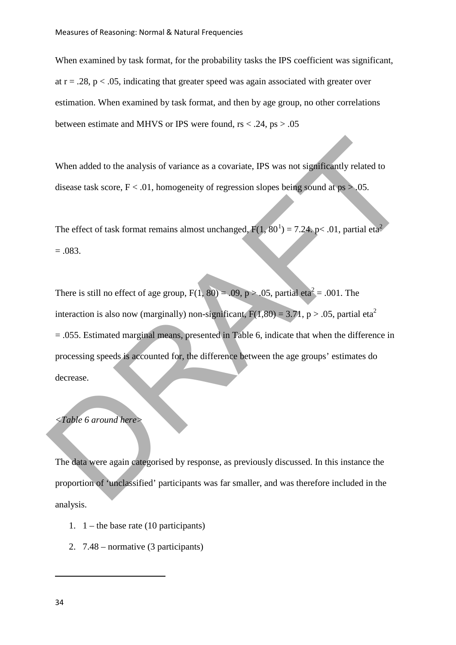When examined by task format, for the probability tasks the IPS coefficient was significant, at  $r = .28$ ,  $p < .05$ , indicating that greater speed was again associated with greater over estimation. When examined by task format, and then by age group, no other correlations between estimate and MHVS or IPS were found,  $rs < .24$ ,  $ps > .05$ 

When added to the analysis of variance as a covariate, IPS was not significantly related to disease task score,  $F < .01$ , homogeneity of regression slopes being sound at ps  $> .05$ .

The effect of task format remains almost unchanged,  $F(1, 80^1) = 7.24$ , p< .01, partial eta<sup>2</sup>  $=.083.$ 

There is still no effect of age group,  $F(1, 80) = .09$ ,  $p > .05$ , partial eta<sup>2</sup> = .001. The interaction is also now (marginally) non-significant,  $F(1,80) = 3.71$ , p > .05, partial eta<sup>2</sup> = .055. Estimated marginal means, presented in Table 6, indicate that when the difference in processing speeds is accounted for, the difference between the age groups' estimates do decrease. When added to the analysis of variance as a covariate, IPS was not significantly related to<br>disease task score,  $F \le .01$  $F \le .01$ , homogeneity of regression slopes being sound at ps > 05.<br>The effect of task format remains almost u

# *<Table 6 around here>*

The data were again categorised by response, as previously discussed. In this instance the proportion of 'unclassified' participants was far smaller, and was therefore included in the analysis.

- 1.  $1 -$  the base rate (10 participants)
- 2. 7.48 normative (3 participants)

<span id="page-33-0"></span> $\overline{a}$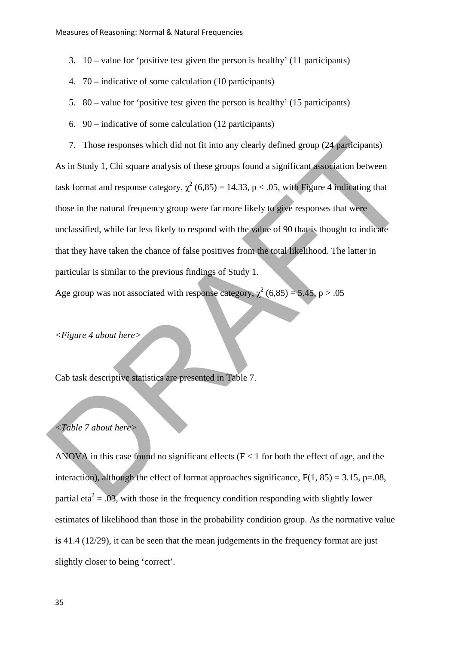- 3. 10 value for 'positive test given the person is healthy' (11 participants)
- 4. 70 indicative of some calculation (10 participants)
- 5. 80 value for 'positive test given the person is healthy' (15 participants)
- 6. 90 indicative of some calculation (12 participants)
- 7. Those responses which did not fit into any clearly defined group (24 participants) As in Study 1, Chi square analysis of these groups found a significant association between task format and response category,  $\chi^2$  (6,85) = 14.33, p < .05, with Figure 4 indicating that those in the natural frequency group were far more likely to give responses that were unclassified, while far less likely to respond with the value of 90 that is thought to indicate that they have taken the chance of false positives from the total likelihood. The latter in particular is similar to the previous findings of Study 1. 7. Those responses which did not fit into any clearly defined group (24 participants)<br>As in Study 1, Chi square analysis of these groups found a significant association between<br>task format and response category,  $\chi^2$  (6

Age group was not associated with response category,  $\chi^2$  (6,85) = 5.45, p > .05

*<Figure 4 about here>* 

Cab task descriptive statistics are presented in Table 7.

## *<Table 7 about here>*

ANOVA in this case found no significant effects ( $F < 1$  for both the effect of age, and the interaction), although the effect of format approaches significance,  $F(1, 85) = 3.15$ ,  $p=.08$ . partial eta<sup>2</sup> = .03, with those in the frequency condition responding with slightly lower estimates of likelihood than those in the probability condition group. As the normative value is 41.4 (12/29), it can be seen that the mean judgements in the frequency format are just slightly closer to being 'correct'.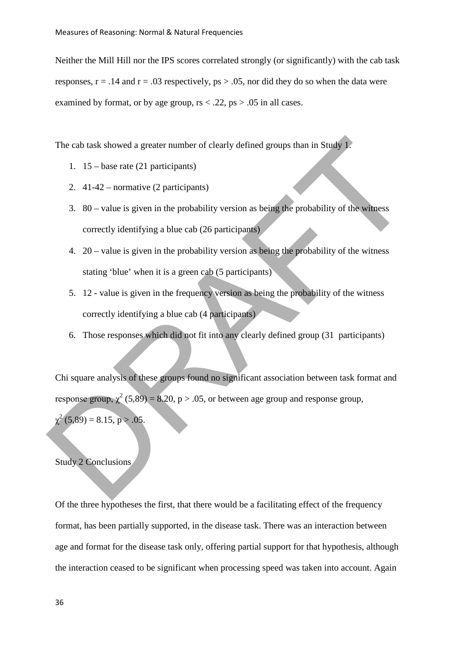Neither the Mill Hill nor the IPS scores correlated strongly (or significantly) with the cab task responses,  $r = .14$  and  $r = .03$  respectively,  $ps > .05$ , nor did they do so when the data were examined by format, or by age group,  $rs < 0.22$ ,  $ps > 0.05$  in all cases.

The cab task showed a greater number of clearly defined groups than in Study 1.

- 1. 15 base rate (21 participants)
- 2. 41-42 normative (2 participants)
- 3. 80 value is given in the probability version as being the probability of the witness correctly identifying a blue cab (26 participants)
- 4. 20 value is given in the probability version as being the probability of the witness stating 'blue' when it is a green cab (5 participants)
- 5. 12 value is given in the frequency version as being the probability of the witness correctly identifying a blue cab (4 participants)
- 6. Those responses which did not fit into any clearly defined group (31 participants)

Chi square analysis of these groups found no significant association between task format and response group,  $\chi^2$  (5,89) = 8.20, p > .05, or between age group and response group, The cab task showed a greater number of clearly defined groups than in Study 1:<br>
1. 15 – base rate (21 participants)<br>
2. 41-42 – normative (2 participants)<br>
3. 80 – value is given in the probability version as being the p

 $\chi^2$  (5,89) = 8.15, p > .05.

## Study 2 Conclusions

Of the three hypotheses the first, that there would be a facilitating effect of the frequency format, has been partially supported, in the disease task. There was an interaction between age and format for the disease task only, offering partial support for that hypothesis, although the interaction ceased to be significant when processing speed was taken into account. Again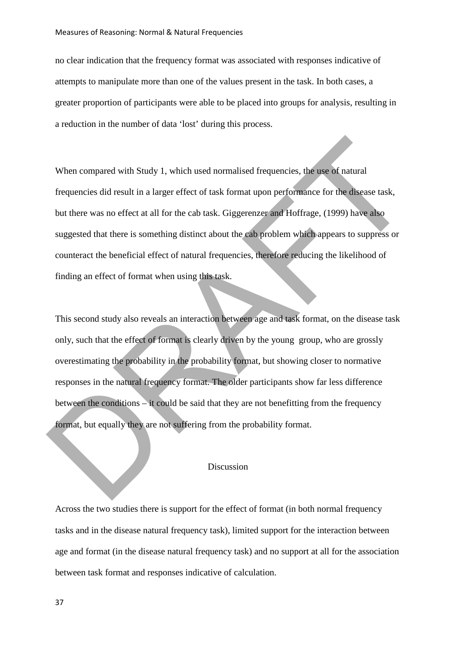no clear indication that the frequency format was associated with responses indicative of attempts to manipulate more than one of the values present in the task. In both cases, a greater proportion of participants were able to be placed into groups for analysis, resulting in a reduction in the number of data 'lost' during this process.

When compared with Study 1, which used normalised frequencies, the use of natural frequencies did result in a larger effect of task format upon performance for the disease task, but there was no effect at all for the cab task. Giggerenzer and Hoffrage, (1999) have also suggested that there is something distinct about the cab problem which appears to suppress or counteract the beneficial effect of natural frequencies, therefore reducing the likelihood of finding an effect of format when using this task. When compared with Study 1, which used normalised frequencies, the use of natural<br>frequencies did result in a larger effect of task format upon performance for the discase task,<br>but there was no effect at all for the cab t

This second study also reveals an interaction between age and task format, on the disease task only, such that the effect of format is clearly driven by the young group, who are grossly overestimating the probability in the probability format, but showing closer to normative responses in the natural frequency format. The older participants show far less difference between the conditions – it could be said that they are not benefitting from the frequency format, but equally they are not suffering from the probability format.

# Discussion

Across the two studies there is support for the effect of format (in both normal frequency tasks and in the disease natural frequency task), limited support for the interaction between age and format (in the disease natural frequency task) and no support at all for the association between task format and responses indicative of calculation.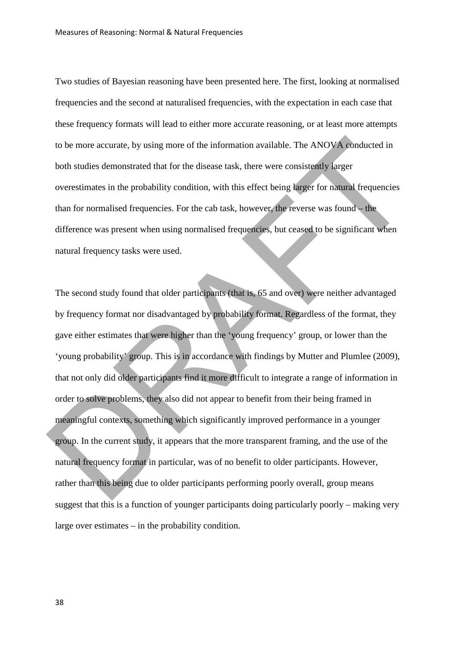Two studies of Bayesian reasoning have been presented here. The first, looking at normalised frequencies and the second at naturalised frequencies, with the expectation in each case that these frequency formats will lead to either more accurate reasoning, or at least more attempts to be more accurate, by using more of the information available. The ANOVA conducted in both studies demonstrated that for the disease task, there were consistently larger overestimates in the probability condition, with this effect being larger for natural frequencies than for normalised frequencies. For the cab task, however, the reverse was found – the difference was present when using normalised frequencies, but ceased to be significant when natural frequency tasks were used.

The second study found that older participants (that is, 65 and over) were neither advantaged by frequency format nor disadvantaged by probability format. Regardless of the format, they gave either estimates that were higher than the 'young frequency' group, or lower than the 'young probability' group. This is in accordance with findings by Mutter and Plumlee (2009), that not only did older participants find it more difficult to integrate a range of information in order to solve problems, they also did not appear to benefit from their being framed in meaningful contexts, something which significantly improved performance in a younger group. In the current study, it appears that the more transparent framing, and the use of the natural frequency format in particular, was of no benefit to older participants. However, rather than this being due to older participants performing poorly overall, group means suggest that this is a function of younger participants doing particularly poorly – making very large over estimates – in the probability condition. to be more accurate, by using more of the information available. The ANOVA conducted in<br>both studies demonstrated that for the disease task, there were consistently larger<br>overestimates in the probability condition, with t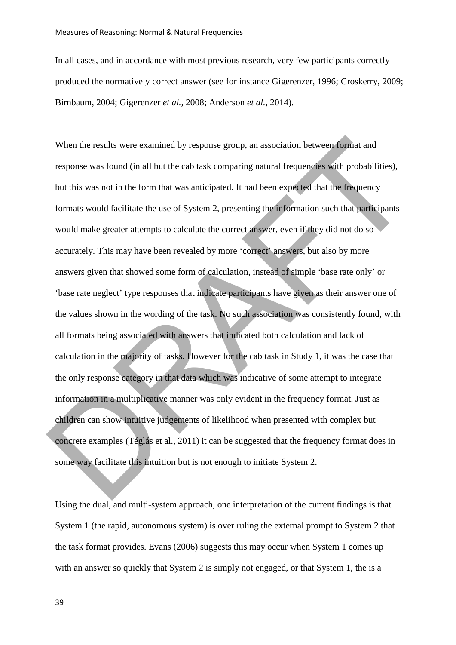In all cases, and in accordance with most previous research, very few participants correctly produced the normatively correct answer (see for instance Gigerenzer, 1996; Croskerry, 2009; Birnbaum, 2004; Gigerenzer *et al.,* 2008; Anderson *et al.*, 2014).

When the results were examined by response group, an association between format and response was found (in all but the cab task comparing natural frequencies with probabilities), but this was not in the form that was anticipated. It had been expected that the frequency formats would facilitate the use of System 2, presenting the information such that participants would make greater attempts to calculate the correct answer, even if they did not do so accurately. This may have been revealed by more 'correct' answers, but also by more answers given that showed some form of calculation, instead of simple 'base rate only' or 'base rate neglect' type responses that indicate participants have given as their answer one of the values shown in the wording of the task. No such association was consistently found, with all formats being associated with answers that indicated both calculation and lack of calculation in the majority of tasks. However for the cab task in Study 1, it was the case that the only response category in that data which was indicative of some attempt to integrate information in a multiplicative manner was only evident in the frequency format. Just as children can show intuitive judgements of likelihood when presented with complex but concrete examples (Téglás et al., 2011) it can be suggested that the frequency format does in some way facilitate this intuition but is not enough to initiate System 2. When the results were examined by response group, an association between format and<br>response was found (in all but the cab task comparing natural frequencies with probabilities),<br>but this was not in the form that was antic

Using the dual, and multi-system approach, one interpretation of the current findings is that System 1 (the rapid, autonomous system) is over ruling the external prompt to System 2 that the task format provides. Evans (2006) suggests this may occur when System 1 comes up with an answer so quickly that System 2 is simply not engaged, or that System 1, the is a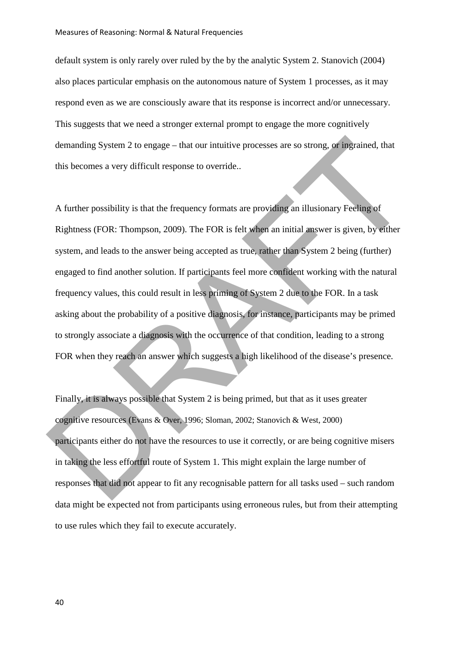default system is only rarely over ruled by the by the analytic System 2. Stanovich (2004) also places particular emphasis on the autonomous nature of System 1 processes, as it may respond even as we are consciously aware that its response is incorrect and/or unnecessary. This suggests that we need a stronger external prompt to engage the more cognitively demanding System 2 to engage – that our intuitive processes are so strong, or ingrained, that this becomes a very difficult response to override..

A further possibility is that the frequency formats are providing an illusionary Feeling of Rightness (FOR: Thompson, 2009). The FOR is felt when an initial answer is given, by either system, and leads to the answer being accepted as true, rather than System 2 being (further) engaged to find another solution. If participants feel more confident working with the natural frequency values, this could result in less priming of System 2 due to the FOR. In a task asking about the probability of a positive diagnosis, for instance, participants may be primed to strongly associate a diagnosis with the occurrence of that condition, leading to a strong FOR when they reach an answer which suggests a high likelihood of the disease's presence. demanding System 2 to engage – that our intuitive processes are so strong, or ingrained, that<br>this becomes a very difficult response to override..<br>A further possibility is that the frequency formats are providing an illusi

Finally, it is always possible that System 2 is being primed, but that as it uses greater cognitive resources (Evans & Over, 1996; Sloman, 2002; Stanovich & West, 2000) participants either do not have the resources to use it correctly, or are being cognitive misers in taking the less effortful route of System 1. This might explain the large number of responses that did not appear to fit any recognisable pattern for all tasks used – such random data might be expected not from participants using erroneous rules, but from their attempting to use rules which they fail to execute accurately.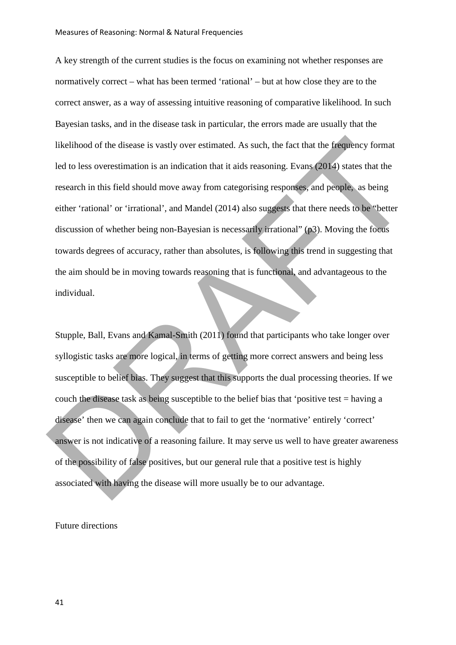A key strength of the current studies is the focus on examining not whether responses are normatively correct – what has been termed 'rational' – but at how close they are to the correct answer, as a way of assessing intuitive reasoning of comparative likelihood. In such Bayesian tasks, and in the disease task in particular, the errors made are usually that the likelihood of the disease is vastly over estimated. As such, the fact that the frequency format led to less overestimation is an indication that it aids reasoning. Evans (2014) states that the research in this field should move away from categorising responses, and people, as being either 'rational' or 'irrational', and Mandel (2014) also suggests that there needs to be "better discussion of whether being non-Bayesian is necessarily irrational" (p3). Moving the focus towards degrees of accuracy, rather than absolutes, is following this trend in suggesting that the aim should be in moving towards reasoning that is functional, and advantageous to the individual. Ikelihood of the disease is vastly over estimated. As such, the fact that the frequency format<br>
led to less overestimation is an indication that it aids reasoning. Evans (2014) states that the<br>
research in this field shoul

Stupple, Ball, Evans and Kamal-Smith (2011) found that participants who take longer over syllogistic tasks are more logical, in terms of getting more correct answers and being less susceptible to belief bias. They suggest that this supports the dual processing theories. If we couch the disease task as being susceptible to the belief bias that 'positive test = having a disease' then we can again conclude that to fail to get the 'normative' entirely 'correct' answer is not indicative of a reasoning failure. It may serve us well to have greater awareness of the possibility of false positives, but our general rule that a positive test is highly associated with having the disease will more usually be to our advantage.

Future directions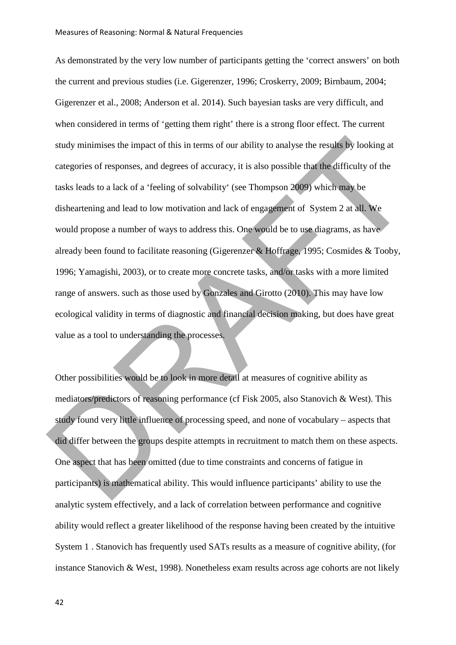As demonstrated by the very low number of participants getting the 'correct answers' on both the current and previous studies (i.e. Gigerenzer, 1996; Croskerry, 2009; Birnbaum, 2004; Gigerenzer et al., 2008; Anderson et al. 2014). Such bayesian tasks are very difficult, and when considered in terms of 'getting them right' there is a strong floor effect. The current study minimises the impact of this in terms of our ability to analyse the results by looking at categories of responses, and degrees of accuracy, it is also possible that the difficulty of the tasks leads to a lack of a 'feeling of solvability' (see Thompson 2009) which may be disheartening and lead to low motivation and lack of engagement of System 2 at all. We would propose a number of ways to address this. One would be to use diagrams, as have already been found to facilitate reasoning (Gigerenzer & Hoffrage, 1995; Cosmides & Tooby, 1996; Yamagishi, 2003), or to create more concrete tasks, and/or tasks with a more limited range of answers. such as those used by Gonzales and Girotto (2010). This may have low ecological validity in terms of diagnostic and financial decision making, but does have great value as a tool to understanding the processes. study minimises the impact of this in terms of our ability to analyse the results by looking at<br>categories of responses, and degrees of accuracy, it is also possible that the difficulty of the<br>tasks leads to a lack of a "f

Other possibilities would be to look in more detail at measures of cognitive ability as mediators/predictors of reasoning performance (cf Fisk 2005, also Stanovich & West). This study found very little influence of processing speed, and none of vocabulary – aspects that did differ between the groups despite attempts in recruitment to match them on these aspects. One aspect that has been omitted (due to time constraints and concerns of fatigue in participants) is mathematical ability. This would influence participants' ability to use the analytic system effectively, and a lack of correlation between performance and cognitive ability would reflect a greater likelihood of the response having been created by the intuitive System 1 . Stanovich has frequently used SATs results as a measure of cognitive ability, (for instance Stanovich & West, 1998). Nonetheless exam results across age cohorts are not likely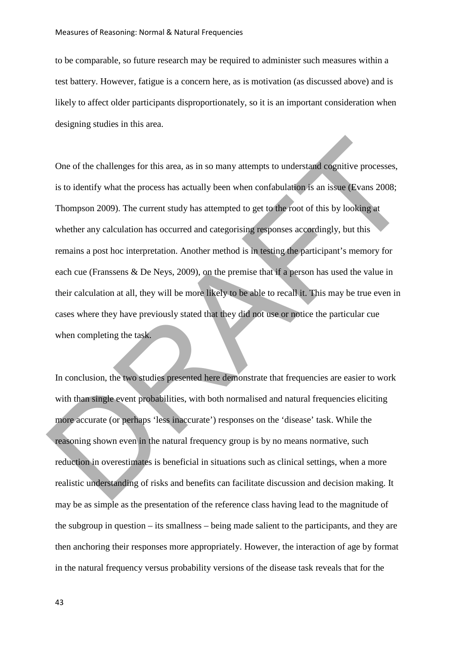to be comparable, so future research may be required to administer such measures within a test battery. However, fatigue is a concern here, as is motivation (as discussed above) and is likely to affect older participants disproportionately, so it is an important consideration when designing studies in this area.

One of the challenges for this area, as in so many attempts to understand cognitive processes, is to identify what the process has actually been when confabulation is an issue (Evans 2008; Thompson 2009). The current study has attempted to get to the root of this by looking at whether any calculation has occurred and categorising responses accordingly, but this remains a post hoc interpretation. Another method is in testing the participant's memory for each cue (Franssens & De Neys, 2009), on the premise that if a person has used the value in their calculation at all, they will be more likely to be able to recall it. This may be true even in cases where they have previously stated that they did not use or notice the particular cue when completing the task. One of the challenges for this area, as in so many attempts to understand cognitive processes,<br>is to identify what the process has actually been when confabulation is an issue (Evans 2008;<br>Thompson 2009). The current study

In conclusion, the two studies presented here demonstrate that frequencies are easier to work with than single event probabilities, with both normalised and natural frequencies eliciting more accurate (or perhaps 'less inaccurate') responses on the 'disease' task. While the reasoning shown even in the natural frequency group is by no means normative, such reduction in overestimates is beneficial in situations such as clinical settings, when a more realistic understanding of risks and benefits can facilitate discussion and decision making. It may be as simple as the presentation of the reference class having lead to the magnitude of the subgroup in question – its smallness – being made salient to the participants, and they are then anchoring their responses more appropriately. However, the interaction of age by format in the natural frequency versus probability versions of the disease task reveals that for the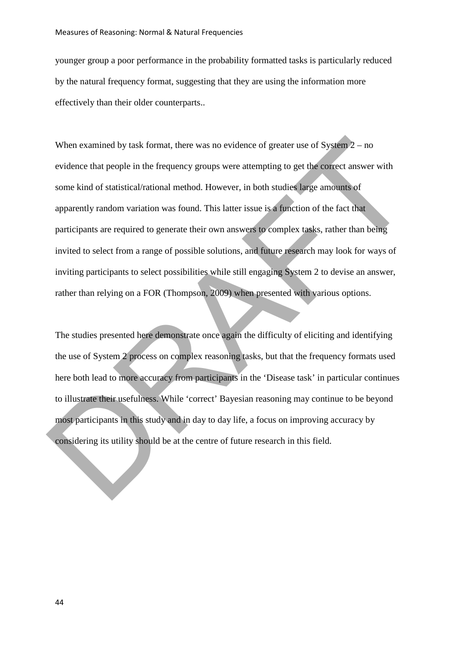younger group a poor performance in the probability formatted tasks is particularly reduced by the natural frequency format, suggesting that they are using the information more effectively than their older counterparts..

When examined by task format, there was no evidence of greater use of System  $2 - no$ evidence that people in the frequency groups were attempting to get the correct answer with some kind of statistical/rational method. However, in both studies large amounts of apparently random variation was found. This latter issue is a function of the fact that participants are required to generate their own answers to complex tasks, rather than being invited to select from a range of possible solutions, and future research may look for ways of inviting participants to select possibilities while still engaging System 2 to devise an answer, rather than relying on a FOR (Thompson, 2009) when presented with various options. When examined by task format, there was no evidence of greater use of System 2 – no<br>evidence that people in the frequency groups were attempting to get the correct answer with<br>some kind of statistical/rational method. How

The studies presented here demonstrate once again the difficulty of eliciting and identifying the use of System 2 process on complex reasoning tasks, but that the frequency formats used here both lead to more accuracy from participants in the 'Disease task' in particular continues to illustrate their usefulness. While 'correct' Bayesian reasoning may continue to be beyond most participants in this study and in day to day life, a focus on improving accuracy by considering its utility should be at the centre of future research in this field.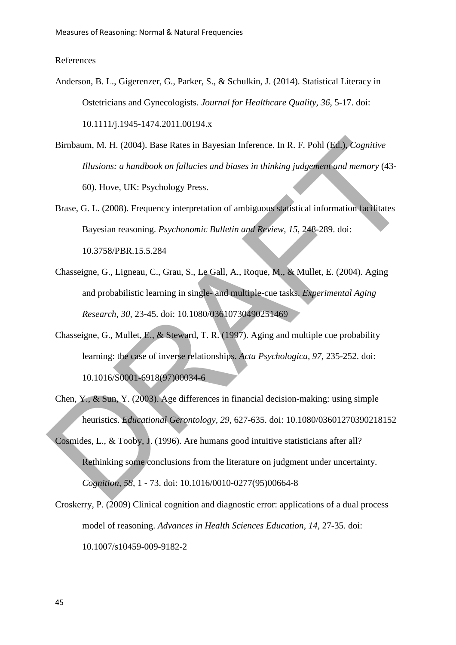### References

- Anderson, B. L., Gigerenzer, G., Parker, S., & Schulkin, J. (2014). Statistical Literacy in Ostetricians and Gynecologists. *Journal for Healthcare Quality, 36*, 5-17. doi: 10.1111/j.1945-1474.2011.00194.x
- Birnbaum, M. H. (2004). Base Rates in Bayesian Inference. In R. F. Pohl (Ed.), *Cognitive Illusions: a handbook on fallacies and biases in thinking judgement and memory* (43- 60). Hove, UK: Psychology Press. Birnbaum, M. H. (2004). Base Rates in Bayesian Inference. In R. F. Pohl (Ed.), Cognitive<br>Illusions: a handbook on fallacies and biases in thinking judgement and memory (43-<br>60). Hove, UK: Psychology Press.<br>Brass. G. L. (2
	- Brase, G. L. (2008). Frequency interpretation of ambiguous statistical information facilitates Bayesian reasoning. *Psychonomic Bulletin and Review, 15,* 248-289. doi: 10.3758/PBR.15.5.284
	- Chasseigne, G., Ligneau, C., Grau, S., Le Gall, A., Roque, M., & Mullet, E. (2004). Aging and probabilistic learning in single- and multiple-cue tasks. *Experimental Aging Research, 30,* 23-45. doi: 10.1080/03610730490251469
	- Chasseigne, G., Mullet, E., & Steward, T. R. (1997). Aging and multiple cue probability learning: the case of inverse relationships. *Acta Psychologica, 97,* 235-252. doi: 10.1016/S0001-6918(97)00034-6
	- Chen, Y., & Sun, Y. (2003). Age differences in financial decision-making: using simple heuristics. *Educational Gerontology, 29*, 627-635. doi: 10.1080/03601270390218152
	- Cosmides, L., & Tooby, J. (1996). Are humans good intuitive statisticians after all? Rethinking some conclusions from the literature on judgment under uncertainty. *Cognition, 58,* 1 - 73. doi: 10.1016/0010-0277(95)00664-8
	- Croskerry, P. (2009) Clinical cognition and diagnostic error: applications of a dual process model of reasoning. *Advances in Health Sciences Education, 14,* 27-35. doi: 10.1007/s10459-009-9182-2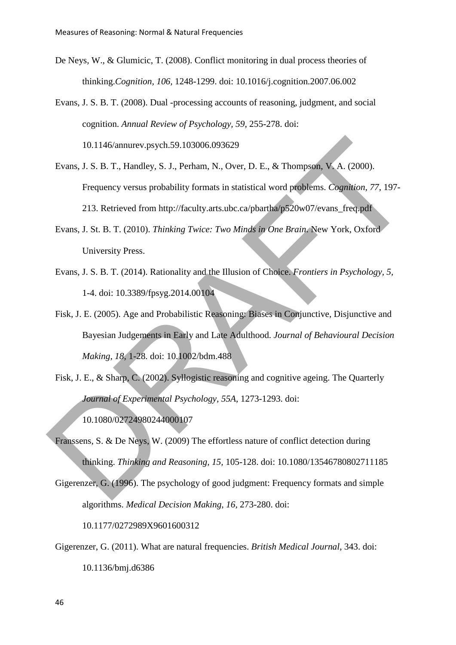- De Neys, W., & Glumicic, T. (2008). Conflict monitoring in dual process theories of thinking.*Cognition, 106,* 1248-1299. doi: 10.1016/j.cognition.2007.06.002
- Evans, J. S. B. T. (2008). Dual -processing accounts of reasoning, judgment, and social cognition. *Annual Review of Psychology, 59*, 255-278. doi:

10.1146/annurev.psych.59.103006.093629

- Evans, J. S. B. T., Handley, S. J., Perham, N., Over, D. E., & Thompson, V. A. (2000). Frequency versus probability formats in statistical word problems. *Cognition, 77,* 197- 213. Retrieved from http://faculty.arts.ubc.ca/pbartha/p520w07/evans\_freq.pdf 10.1146/annurev.psych.59.103006.093629<br>
Evans, J. S. B. T., Handley, S. J., Perham, N., Over, D. E., & Thompson, V. A. (2000).<br>
Frequency versus probability formats in statistical word problems. *Cognition*, 77, 197-<br>
213
	- Evans, J. St. B. T. (2010). *Thinking Twice: Two Minds in One Brain*. New York, Oxford University Press.
	- Evans, J. S. B. T. (2014). Rationality and the Illusion of Choice. *Frontiers in Psychology, 5,*  1-4. doi: 10.3389/fpsyg.2014.00104
	- Fisk, J. E. (2005). Age and Probabilistic Reasoning: Biases in Conjunctive, Disjunctive and Bayesian Judgements in Early and Late Adulthood. *Journal of Behavioural Decision Making, 18,* 1-28. doi: 10.1002/bdm.488
	- Fisk, J. E., & Sharp, C. (2002). Syllogistic reasoning and cognitive ageing. The Quarterly *Journal of Experimental Psychology, 55A*, 1273-1293. doi:

10.1080/02724980244000107

- Franssens, S. & De Neys, W. (2009) The effortless nature of conflict detection during thinking. *Thinking and Reasoning, 15,* 105-128. doi: 10.1080/13546780802711185
- Gigerenzer, G. (1996). The psychology of good judgment: Frequency formats and simple algorithms. *Medical Decision Making, 16,* 273-280. doi:

10.1177/0272989X9601600312

Gigerenzer, G. (2011). What are natural frequencies. *British Medical Journal*, 343. doi: 10.1136/bmj.d6386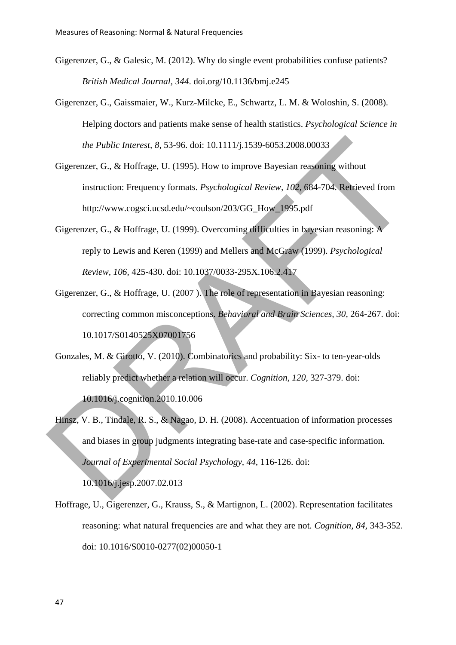- Gigerenzer, G., & Galesic, M. (2012). Why do single event probabilities confuse patients? *British Medical Journal, 344*. doi.org/10.1136/bmj.e245
- Gigerenzer, G., Gaissmaier, W., Kurz-Milcke, E., Schwartz, L. M. & Woloshin, S. (2008). Helping doctors and patients make sense of health statistics. *Psychological Science in the Public Interest, 8,* 53-96. doi: 10.1111/j.1539-6053.2008.00033
- Gigerenzer, G., & Hoffrage, U. (1995). How to improve Bayesian reasoning without instruction: Frequency formats. *Psychological Review, 102*, 684-704. Retrieved from http://www.cogsci.ucsd.edu/~coulson/203/GG\_How\_1995.pdf
- Gigerenzer, G., & Hoffrage, U. (1999). Overcoming difficulties in bayesian reasoning: A reply to Lewis and Keren (1999) and Mellers and McGraw (1999). *Psychological Review, 106,* 425-430. doi: 10.1037/0033-295X.106.2.417
- Gigerenzer, G., & Hoffrage, U. (2007 ). The role of representation in Bayesian reasoning: correcting common misconceptions. *Behavioral and Brain Sciences, 30,* 264-267. doi: 10.1017/S0140525X07001756
- Gonzales, M. & Girotto, V. (2010). Combinatorics and probability: Six- to ten-year-olds reliably predict whether a relation will occur. *Cognition, 120,* 327-379. doi: 10.1016/j.cognition.2010.10.006
- Hinsz, V. B., Tindale, R. S., & Nagao, D. H. (2008). Accentuation of information processes and biases in group judgments integrating base-rate and case-specific information. *Journal of Experimental Social Psychology, 44,* 116-126. doi: 10.1016/j.jesp.2007.02.013 the Public Interest, 8, 53-96. doi: 10.1111/j.1539-6053.2008.00033<br>
Gigerenzer, G., & Hoffrage, U. (1995). How to improve Bayesian reasoning without<br>
instruction: Frequency formats. *Psychological Review*, 102, 684-704. Re

Hoffrage, U., Gigerenzer, G., Krauss, S., & Martignon, L. (2002). Representation facilitates reasoning: what natural frequencies are and what they are not. *Cognition, 84,* 343-352. doi: 10.1016/S0010-0277(02)00050-1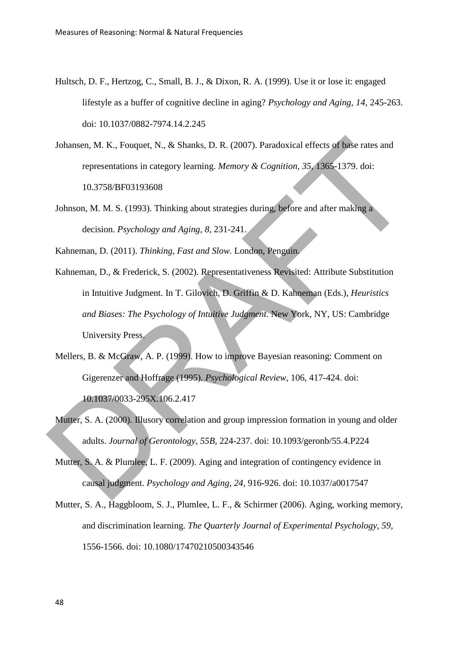- Hultsch, D. F., Hertzog, C., Small, B. J., & Dixon, R. A. (1999). Use it or lose it: engaged lifestyle as a buffer of cognitive decline in aging? *Psychology and Aging, 14*, 245-263. doi: 10.1037/0882-7974.14.2.245
- Johansen, M. K., Fouquet, N., & Shanks, D. R. (2007). Paradoxical effects of base rates and representations in category learning. *Memory & Cognition, 35,* 1365-1379. doi: 10.3758/BF03193608
- Johnson, M. M. S. (1993). Thinking about strategies during, before and after making a decision. *Psychology and Aging, 8*, 231-241.

Kahneman, D. (2011). *Thinking, Fast and Slow.* London, Penguin.

- Kahneman, D., & Frederick, S. (2002). Representativeness Revisited: Attribute Substitution in Intuitive Judgment. In T. Gilovich, D. Griffin & D. Kahneman (Eds.), *Heuristics and Biases: The Psychology of Intuitive Judgment.* New York, NY, US: Cambridge University Press. Johansen, M. K., Fouquet, N., & Shanks, D. R. (2007). Paradoxical effects of base rates and<br>representations in category learning. *Memory & Cognition*, 35, 1365-1379. doi:<br>10.3758/BF03193608<br>Johnson, M. M. S. (1993). Think
	- Mellers, B. & McGraw, A. P. (1999). How to improve Bayesian reasoning: Comment on Gigerenzer and Hoffrage (1995). *Psychological Review,* 106, 417-424. doi: 10.1037/0033-295X.106.2.417
	- Mutter, S. A. (2000). Illusory correlation and group impression formation in young and older adults. *Journal of Gerontology, 55B,* 224-237. doi: 10.1093/geronb/55.4.P224
	- Mutter, S. A. & Plumlee, L. F. (2009). Aging and integration of contingency evidence in causal judgment. *Psychology and Aging, 24,* 916-926. doi: 10.1037/a0017547
	- Mutter, S. A., Haggbloom, S. J., Plumlee, L. F., & Schirmer (2006). Aging, working memory, and discrimination learning. *The Quarterly Journal of Experimental Psychology, 59,* 1556-1566. doi: 10.1080/17470210500343546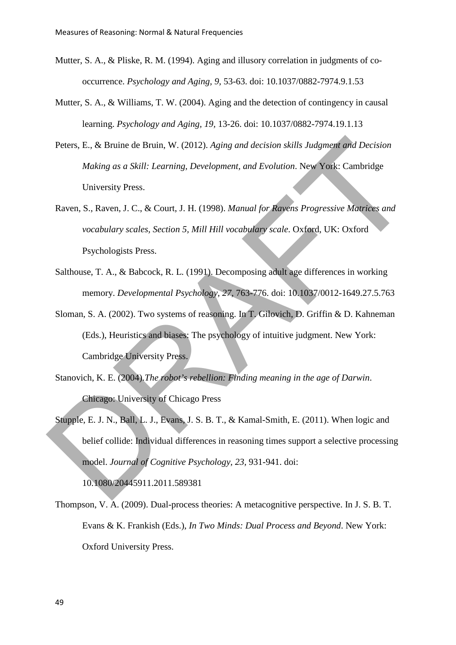- Mutter, S. A., & Pliske, R. M. (1994). Aging and illusory correlation in judgments of cooccurrence. *Psychology and Aging, 9,* 53-63. doi: 10.1037/0882-7974.9.1.53
- Mutter, S. A., & Williams, T. W. (2004). Aging and the detection of contingency in causal learning. *Psychology and Aging, 19,* 13-26. doi: 10.1037/0882-7974.19.1.13
- Peters, E., & Bruine de Bruin, W. (2012). *Aging and decision skills Judgment and Decision Making as a Skill: Learning, Development, and Evolution*. New York: Cambridge University Press.
- Raven, S., Raven, J. C., & Court, J. H. (1998). *Manual for Ravens Progressive Matrices and vocabulary scales, Section 5, Mill Hill vocabulary scale*. Oxford, UK: Oxford Psychologists Press.
- Salthouse, T. A., & Babcock, R. L. (1991). Decomposing adult age differences in working memory. *Developmental Psychology, 27,* 763-776. doi: 10.1037/0012-1649.27.5.763
- Sloman, S. A. (2002). Two systems of reasoning. In T. Gilovich, D. Griffin & D. Kahneman (Eds.), Heuristics and biases: The psychology of intuitive judgment. New York: Cambridge University Press.
- Stanovich, K. E. (2004).*The robot's rebellion: Finding meaning in the age of Darwin*. Chicago: University of Chicago Press
- Stupple, E. J. N., Ball, L. J., Evans, J. S. B. T., & Kamal-Smith, E. (2011). When logic and belief collide: Individual differences in reasoning times support a selective processing model. *Journal of Cognitive Psychology, 23,* 931-941. doi: Peters, E., & Bruine de Bruin, W. (2012). Aging and decision skills Judgment and Decision<br>
Making as a Skill: Learning, Development, and Evolution. New You:: Cambridge<br>
University Press.<br>
Raven, S., Raven, J. C., & Court,

10.1080/20445911.2011.589381

Thompson, V. A. (2009). Dual-process theories: A metacognitive perspective. In J. S. B. T. Evans & K. Frankish (Eds.), *In Two Minds: Dual Process and Beyond*. New York: Oxford University Press.